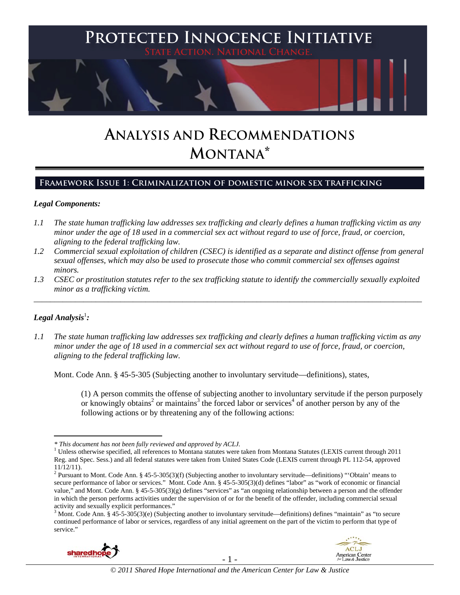

# **ANALYSIS AND RECOMMENDATIONS MONTANA\***

## **Framework Issue 1: Criminalization of domestic minor sex trafficking**

#### *Legal Components:*

- *1.1 The state human trafficking law addresses sex trafficking and clearly defines a human trafficking victim as any minor under the age of 18 used in a commercial sex act without regard to use of force, fraud, or coercion, aligning to the federal trafficking law.*
- *1.2 Commercial sexual exploitation of children (CSEC) is identified as a separate and distinct offense from general sexual offenses, which may also be used to prosecute those who commit commercial sex offenses against minors.*
- *1.3 CSEC or prostitution statutes refer to the sex trafficking statute to identify the commercially sexually exploited minor as a trafficking victim.*  \_\_\_\_\_\_\_\_\_\_\_\_\_\_\_\_\_\_\_\_\_\_\_\_\_\_\_\_\_\_\_\_\_\_\_\_\_\_\_\_\_\_\_\_\_\_\_\_\_\_\_\_\_\_\_\_\_\_\_\_\_\_\_\_\_\_\_\_\_\_\_\_\_\_\_\_\_\_\_\_\_\_\_\_\_\_\_\_\_\_\_\_\_\_

# $\textit{Legal Analysis}^{\text{!}}$

 $\overline{a}$ 

*1.1 The state human trafficking law addresses sex trafficking and clearly defines a human trafficking victim as any minor under the age of 18 used in a commercial sex act without regard to use of force, fraud, or coercion, aligning to the federal trafficking law.*

Mont. Code Ann. § 45-5-305 (Subjecting another to involuntary servitude—definitions), states,

(1) A person commits the offense of subjecting another to involuntary servitude if the person purposely or knowingly obtains<sup>2</sup> or maintains<sup>3</sup> the forced labor or services<sup>4</sup> of another person by any of the following actions or by threatening any of the following actions:

 $3$  Mont. Code Ann. § 45-5-305(3)(e) (Subjecting another to involuntary servitude—definitions) defines "maintain" as "to secure continued performance of labor or services, regardless of any initial agreement on the part of the victim to perform that type of service."





*<sup>\*</sup> This document has not been fully reviewed and approved by ACLJ.* <sup>1</sup>

 $1$  Unless otherwise specified, all references to Montana statutes were taken from Montana Statutes (LEXIS current through 2011 Reg. and Spec. Sess.) and all federal statutes were taken from United States Code (LEXIS current through PL 112-54, approved 11/12/11).

<sup>&</sup>lt;sup>2</sup> Pursuant to Mont. Code Ann. § 45-5-305(3)(f) (Subjecting another to involuntary servitude—definitions) "'Obtain' means to secure performance of labor or services." Mont. Code Ann. § 45-5-305(3)(d) defines "labor" as "work of economic or financial value," and Mont. Code Ann. § 45-5-305(3)(g) defines "services" as "an ongoing relationship between a person and the offender in which the person performs activities under the supervision of or for the benefit of the offender, including commercial sexual activity and sexually explicit performances."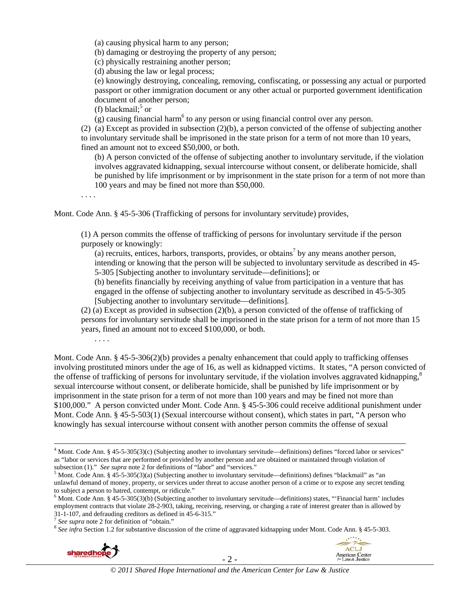(a) causing physical harm to any person;

(b) damaging or destroying the property of any person;

(c) physically restraining another person;

(d) abusing the law or legal process;

(e) knowingly destroying, concealing, removing, confiscating, or possessing any actual or purported passport or other immigration document or any other actual or purported government identification document of another person;

(f) blackmail;<sup>5</sup> or

 $(g)$  causing financial harm<sup>6</sup> to any person or using financial control over any person.

(2) (a) Except as provided in subsection (2)(b), a person convicted of the offense of subjecting another to involuntary servitude shall be imprisoned in the state prison for a term of not more than 10 years, fined an amount not to exceed \$50,000, or both.

(b) A person convicted of the offense of subjecting another to involuntary servitude, if the violation involves aggravated kidnapping, sexual intercourse without consent, or deliberate homicide, shall be punished by life imprisonment or by imprisonment in the state prison for a term of not more than 100 years and may be fined not more than \$50,000.

. . . .

. . . .

Mont. Code Ann. § 45-5-306 (Trafficking of persons for involuntary servitude) provides,

(1) A person commits the offense of trafficking of persons for involuntary servitude if the person purposely or knowingly:

(a) recruits, entices, harbors, transports, provides, or obtains<sup>7</sup> by any means another person, intending or knowing that the person will be subjected to involuntary servitude as described in 45- 5-305 [Subjecting another to involuntary servitude—definitions]; or

(b) benefits financially by receiving anything of value from participation in a venture that has engaged in the offense of subjecting another to involuntary servitude as described in 45-5-305 [Subjecting another to involuntary servitude—definitions].

(2) (a) Except as provided in subsection (2)(b), a person convicted of the offense of trafficking of persons for involuntary servitude shall be imprisoned in the state prison for a term of not more than 15 years, fined an amount not to exceed \$100,000, or both.

Mont. Code Ann. § 45-5-306(2)(b) provides a penalty enhancement that could apply to trafficking offenses involving prostituted minors under the age of 16, as well as kidnapped victims. It states, "A person convicted of the offense of trafficking of persons for involuntary servitude, if the violation involves aggravated kidnapping,<sup>8</sup> sexual intercourse without consent, or deliberate homicide, shall be punished by life imprisonment or by imprisonment in the state prison for a term of not more than 100 years and may be fined not more than \$100,000." A person convicted under Mont. Code Ann. § 45-5-306 could receive additional punishment under Mont. Code Ann. § 45-5-503(1) (Sexual intercourse without consent), which states in part, "A person who knowingly has sexual intercourse without consent with another person commits the offense of sexual

<sup>&</sup>lt;sup>7</sup> See supra note 2 for definition of "obtain."<br><sup>8</sup> See infra Section 1.2 for substantive discussion of the crime of aggravated kidnapping under Mont. Code Ann. § 45-5-303.



Little, ACLJ

American Center<br>for Law & Justice

 $\frac{1}{4}$ <sup>4</sup> Mont. Code Ann. § 45-5-305(3)(c) (Subjecting another to involuntary servitude—definitions) defines "forced labor or services" as "labor or services that are performed or provided by another person and are obtained or maintained through violation of subsection (1)." *See supra* note 2 for definitions of "labor" and "services."

<sup>&</sup>lt;sup>5</sup> Mont. Code Ann. § 45-5-305(3)(a) (Subjecting another to involuntary servitude—definitions) defines "blackmail" as "an unlawful demand of money, property, or services under threat to accuse another person of a crime or to expose any secret tending to subject a person to hatred, contempt, or ridicule."

 $6$  Mont. Code Ann. § 45-5-305(3)(b) (Subjecting another to involuntary servitude—definitions) states, "Financial harm' includes employment contracts that violate 28-2-903, taking, receiving, reserving, or charging a rate of interest greater than is allowed by 31-1-107, and defrauding creditors as defined in 45-6-315."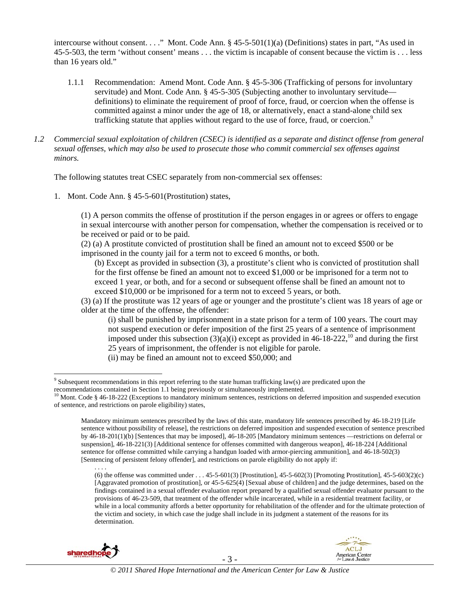intercourse without consent. . . ." Mont. Code Ann. § 45-5-501(1)(a) (Definitions) states in part, "As used in 45-5-503, the term 'without consent' means . . . the victim is incapable of consent because the victim is . . . less than 16 years old."

- 1.1.1 Recommendation: Amend Mont. Code Ann. § 45-5-306 (Trafficking of persons for involuntary servitude) and Mont. Code Ann. § 45-5-305 (Subjecting another to involuntary servitude definitions) to eliminate the requirement of proof of force, fraud, or coercion when the offense is committed against a minor under the age of 18, or alternatively, enact a stand-alone child sex trafficking statute that applies without regard to the use of force, fraud, or coercion.<sup>9</sup>
- *1.2 Commercial sexual exploitation of children (CSEC) is identified as a separate and distinct offense from general sexual offenses, which may also be used to prosecute those who commit commercial sex offenses against minors.*

The following statutes treat CSEC separately from non-commercial sex offenses:

1. Mont. Code Ann. § 45-5-601(Prostitution) states,

(1) A person commits the offense of prostitution if the person engages in or agrees or offers to engage in sexual intercourse with another person for compensation, whether the compensation is received or to be received or paid or to be paid.

(2) (a) A prostitute convicted of prostitution shall be fined an amount not to exceed \$500 or be imprisoned in the county jail for a term not to exceed 6 months, or both.

(b) Except as provided in subsection (3), a prostitute's client who is convicted of prostitution shall for the first offense be fined an amount not to exceed \$1,000 or be imprisoned for a term not to exceed 1 year, or both, and for a second or subsequent offense shall be fined an amount not to exceed \$10,000 or be imprisoned for a term not to exceed 5 years, or both.

(3) (a) If the prostitute was 12 years of age or younger and the prostitute's client was 18 years of age or older at the time of the offense, the offender:

(i) shall be punished by imprisonment in a state prison for a term of 100 years. The court may not suspend execution or defer imposition of the first 25 years of a sentence of imprisonment imposed under this subsection  $(3)(a)(i)$  except as provided in 46-18-222,<sup>10</sup> and during the first 25 years of imprisonment, the offender is not eligible for parole.

(ii) may be fined an amount not to exceed \$50,000; and

<sup>(6)</sup> the offense was committed under . . . 45-5-601(3) [Prostitution], 45-5-602(3) [Promoting Prostitution], 45-5-603(2)(c) [Aggravated promotion of prostitution], or 45-5-625(4) [Sexual abuse of children] and the judge determines, based on the findings contained in a sexual offender evaluation report prepared by a qualified sexual offender evaluator pursuant to the provisions of 46-23-509, that treatment of the offender while incarcerated, while in a residential treatment facility, or while in a local community affords a better opportunity for rehabilitation of the offender and for the ultimate protection of the victim and society, in which case the judge shall include in its judgment a statement of the reasons for its determination.



. . . .



<sup>&</sup>lt;sup>9</sup> Subsequent recommendations in this report referring to the state human trafficking law(s) are predicated upon the recommendations contained in Section 1.1 being previously or simultaneously implemented.<br><sup>10</sup> Mont. Code § 46-18-222 (Exceptions to mandatory minimum sentences, restrictions on deferred imposition and suspended execution

of sentence, and restrictions on parole eligibility) states,

Mandatory minimum sentences prescribed by the laws of this state, mandatory life sentences prescribed by 46-18-219 [Life sentence without possibility of release], the restrictions on deferred imposition and suspended execution of sentence prescribed by 46-18-201(1)(b) [Sentences that may be imposed], 46-18-205 [Mandatory minimum sentences —restrictions on deferral or suspension], 46-18-221(3) [Additional sentence for offenses committed with dangerous weapon], 46-18-224 [Additional sentence for offense committed while carrying a handgun loaded with armor-piercing ammunition], and 46-18-502(3) [Sentencing of persistent felony offender], and restrictions on parole eligibility do not apply if: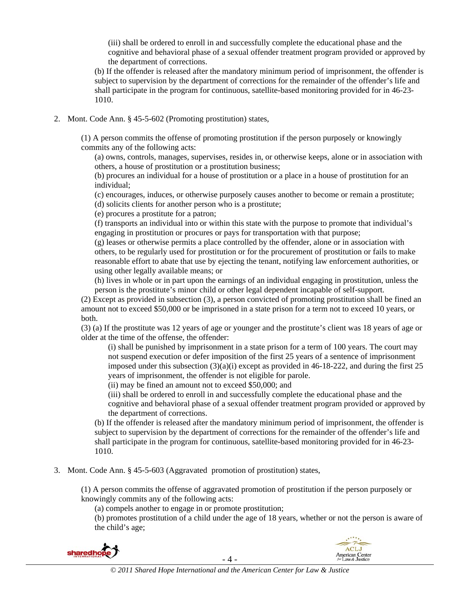(iii) shall be ordered to enroll in and successfully complete the educational phase and the cognitive and behavioral phase of a sexual offender treatment program provided or approved by the department of corrections.

(b) If the offender is released after the mandatory minimum period of imprisonment, the offender is subject to supervision by the department of corrections for the remainder of the offender's life and shall participate in the program for continuous, satellite-based monitoring provided for in 46-23- 1010.

2. Mont. Code Ann. § 45-5-602 (Promoting prostitution) states,

(1) A person commits the offense of promoting prostitution if the person purposely or knowingly commits any of the following acts:

(a) owns, controls, manages, supervises, resides in, or otherwise keeps, alone or in association with others, a house of prostitution or a prostitution business;

(b) procures an individual for a house of prostitution or a place in a house of prostitution for an individual;

(c) encourages, induces, or otherwise purposely causes another to become or remain a prostitute; (d) solicits clients for another person who is a prostitute;

(e) procures a prostitute for a patron;

(f) transports an individual into or within this state with the purpose to promote that individual's engaging in prostitution or procures or pays for transportation with that purpose;

(g) leases or otherwise permits a place controlled by the offender, alone or in association with others, to be regularly used for prostitution or for the procurement of prostitution or fails to make reasonable effort to abate that use by ejecting the tenant, notifying law enforcement authorities, or using other legally available means; or

(h) lives in whole or in part upon the earnings of an individual engaging in prostitution, unless the person is the prostitute's minor child or other legal dependent incapable of self-support.

(2) Except as provided in subsection (3), a person convicted of promoting prostitution shall be fined an amount not to exceed \$50,000 or be imprisoned in a state prison for a term not to exceed 10 years, or both.

(3) (a) If the prostitute was 12 years of age or younger and the prostitute's client was 18 years of age or older at the time of the offense, the offender:

(i) shall be punished by imprisonment in a state prison for a term of 100 years. The court may not suspend execution or defer imposition of the first 25 years of a sentence of imprisonment imposed under this subsection  $(3)(a)(i)$  except as provided in 46-18-222, and during the first 25 years of imprisonment, the offender is not eligible for parole.

(ii) may be fined an amount not to exceed \$50,000; and

(iii) shall be ordered to enroll in and successfully complete the educational phase and the cognitive and behavioral phase of a sexual offender treatment program provided or approved by the department of corrections.

(b) If the offender is released after the mandatory minimum period of imprisonment, the offender is subject to supervision by the department of corrections for the remainder of the offender's life and shall participate in the program for continuous, satellite-based monitoring provided for in 46-23- 1010.

3. Mont. Code Ann. § 45-5-603 (Aggravated promotion of prostitution) states,

(1) A person commits the offense of aggravated promotion of prostitution if the person purposely or knowingly commits any of the following acts:

(a) compels another to engage in or promote prostitution;

(b) promotes prostitution of a child under the age of 18 years, whether or not the person is aware of the child's age;

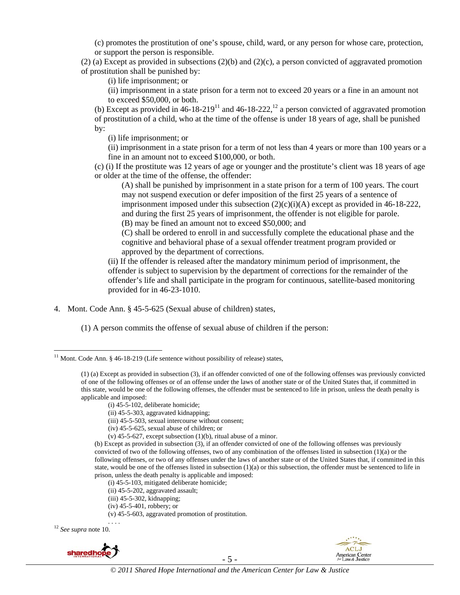(c) promotes the prostitution of one's spouse, child, ward, or any person for whose care, protection, or support the person is responsible.

(2) (a) Except as provided in subsections (2)(b) and (2)(c), a person convicted of aggravated promotion of prostitution shall be punished by:

(i) life imprisonment; or

(ii) imprisonment in a state prison for a term not to exceed 20 years or a fine in an amount not to exceed \$50,000, or both.

(b) Except as provided in  $46-18-219^{11}$  and  $46-18-222$ ,  $12$  a person convicted of aggravated promotion of prostitution of a child, who at the time of the offense is under 18 years of age, shall be punished by:

(i) life imprisonment; or

(ii) imprisonment in a state prison for a term of not less than 4 years or more than 100 years or a fine in an amount not to exceed \$100,000, or both.

(c) (i) If the prostitute was 12 years of age or younger and the prostitute's client was 18 years of age or older at the time of the offense, the offender:

(A) shall be punished by imprisonment in a state prison for a term of 100 years. The court may not suspend execution or defer imposition of the first 25 years of a sentence of imprisonment imposed under this subsection  $(2)(c)(i)(A)$  except as provided in 46-18-222, and during the first 25 years of imprisonment, the offender is not eligible for parole. (B) may be fined an amount not to exceed \$50,000; and

(C) shall be ordered to enroll in and successfully complete the educational phase and the cognitive and behavioral phase of a sexual offender treatment program provided or approved by the department of corrections.

(ii) If the offender is released after the mandatory minimum period of imprisonment, the offender is subject to supervision by the department of corrections for the remainder of the offender's life and shall participate in the program for continuous, satellite-based monitoring provided for in 46-23-1010.

4. Mont. Code Ann. § 45-5-625 (Sexual abuse of children) states,

(1) A person commits the offense of sexual abuse of children if the person:

- (iv) 45-5-625, sexual abuse of children; or
- (v)  $45-5-627$ , except subsection  $(1)(b)$ , ritual abuse of a minor.

(b) Except as provided in subsection (3), if an offender convicted of one of the following offenses was previously convicted of two of the following offenses, two of any combination of the offenses listed in subsection (1)(a) or the following offenses, or two of any offenses under the laws of another state or of the United States that, if committed in this state, would be one of the offenses listed in subsection  $(1)(a)$  or this subsection, the offender must be sentenced to life in prison, unless the death penalty is applicable and imposed:

(i) 45-5-103, mitigated deliberate homicide;

- (ii) 45-5-202, aggravated assault;
- (iii) 45-5-302, kidnapping;
- (iv) 45-5-401, robbery; or

(v) 45-5-603, aggravated promotion of prostitution.

<sup>12</sup> See supra note 10.





<sup>&</sup>lt;sup>11</sup> Mont. Code Ann. § 46-18-219 (Life sentence without possibility of release) states,

<sup>(1) (</sup>a) Except as provided in subsection (3), if an offender convicted of one of the following offenses was previously convicted of one of the following offenses or of an offense under the laws of another state or of the United States that, if committed in this state, would be one of the following offenses, the offender must be sentenced to life in prison, unless the death penalty is applicable and imposed:

<sup>(</sup>i) 45-5-102, deliberate homicide;

<sup>(</sup>ii) 45-5-303, aggravated kidnapping;

<sup>(</sup>iii) 45-5-503, sexual intercourse without consent;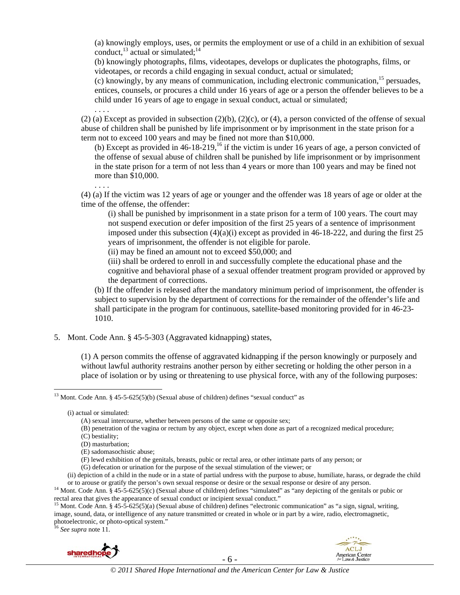(a) knowingly employs, uses, or permits the employment or use of a child in an exhibition of sexual conduct,  $^{13}$  actual or simulated;  $^{14}$ 

(b) knowingly photographs, films, videotapes, develops or duplicates the photographs, films, or videotapes, or records a child engaging in sexual conduct, actual or simulated;

(c) knowingly, by any means of communication, including electronic communication,  $^{15}$  persuades, entices, counsels, or procures a child under 16 years of age or a person the offender believes to be a child under 16 years of age to engage in sexual conduct, actual or simulated;

. . . .  $(2)$  (a) Except as provided in subsection  $(2)(b)$ ,  $(2)(c)$ , or  $(4)$ , a person convicted of the offense of sexual abuse of children shall be punished by life imprisonment or by imprisonment in the state prison for a term not to exceed 100 years and may be fined not more than \$10,000.

(b) Except as provided in  $46-18-219$ ,<sup>16</sup> if the victim is under 16 years of age, a person convicted of the offense of sexual abuse of children shall be punished by life imprisonment or by imprisonment in the state prison for a term of not less than 4 years or more than 100 years and may be fined not more than \$10,000.

. . . . (4) (a) If the victim was 12 years of age or younger and the offender was 18 years of age or older at the time of the offense, the offender:

(i) shall be punished by imprisonment in a state prison for a term of 100 years. The court may not suspend execution or defer imposition of the first 25 years of a sentence of imprisonment imposed under this subsection  $(4)(a)(i)$  except as provided in 46-18-222, and during the first 25 years of imprisonment, the offender is not eligible for parole.

(ii) may be fined an amount not to exceed \$50,000; and

(iii) shall be ordered to enroll in and successfully complete the educational phase and the cognitive and behavioral phase of a sexual offender treatment program provided or approved by the department of corrections.

(b) If the offender is released after the mandatory minimum period of imprisonment, the offender is subject to supervision by the department of corrections for the remainder of the offender's life and shall participate in the program for continuous, satellite-based monitoring provided for in 46-23- 1010.

5. Mont. Code Ann. § 45-5-303 (Aggravated kidnapping) states,

(1) A person commits the offense of aggravated kidnapping if the person knowingly or purposely and without lawful authority restrains another person by either secreting or holding the other person in a place of isolation or by using or threatening to use physical force, with any of the following purposes:





<sup>&</sup>lt;sup>13</sup> Mont. Code Ann. § 45-5-625(5)(b) (Sexual abuse of children) defines "sexual conduct" as

<sup>(</sup>i) actual or simulated:

<sup>(</sup>A) sexual intercourse, whether between persons of the same or opposite sex;

<sup>(</sup>B) penetration of the vagina or rectum by any object, except when done as part of a recognized medical procedure;

<sup>(</sup>C) bestiality;

<sup>(</sup>D) masturbation;

<sup>(</sup>E) sadomasochistic abuse;

<sup>(</sup>F) lewd exhibition of the genitals, breasts, pubic or rectal area, or other intimate parts of any person; or

<sup>(</sup>G) defecation or urination for the purpose of the sexual stimulation of the viewer; or

<sup>(</sup>ii) depiction of a child in the nude or in a state of partial undress with the purpose to abuse, humiliate, harass, or degrade the child

or to arouse or gratify the person's own sexual response or desire or the sexual response or desire of any person.<br><sup>14</sup> Mont. Code Ann. § 45-5-625(5)(c) (Sexual abuse of children) defines "simulated" as "any depicting of t

<sup>&</sup>lt;sup>15</sup> Mont. Code Ann. § 45-5-625(5)(a) (Sexual abuse of children) defines "electronic communication" as "a sign, signal, writing, image, sound, data, or intelligence of any nature transmitted or created in whole or in part by a wire, radio, electromagnetic, photoelectronic, or photo-optical system." 16 *See supra* note 11.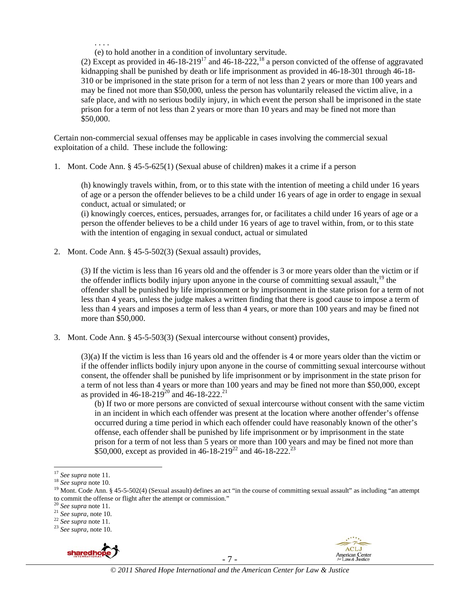. . . . (e) to hold another in a condition of involuntary servitude.

(2) Except as provided in  $46-18-219^{17}$  and  $46-18-222$ ,  $^{18}$  a person convicted of the offense of aggravated kidnapping shall be punished by death or life imprisonment as provided in 46-18-301 through 46-18- 310 or be imprisoned in the state prison for a term of not less than 2 years or more than 100 years and may be fined not more than \$50,000, unless the person has voluntarily released the victim alive, in a safe place, and with no serious bodily injury, in which event the person shall be imprisoned in the state prison for a term of not less than 2 years or more than 10 years and may be fined not more than \$50,000.

Certain non-commercial sexual offenses may be applicable in cases involving the commercial sexual exploitation of a child. These include the following:

1. Mont. Code Ann. § 45-5-625(1) (Sexual abuse of children) makes it a crime if a person

(h) knowingly travels within, from, or to this state with the intention of meeting a child under 16 years of age or a person the offender believes to be a child under 16 years of age in order to engage in sexual conduct, actual or simulated; or

(i) knowingly coerces, entices, persuades, arranges for, or facilitates a child under 16 years of age or a person the offender believes to be a child under 16 years of age to travel within, from, or to this state with the intention of engaging in sexual conduct, actual or simulated

2. Mont. Code Ann. § 45-5-502(3) (Sexual assault) provides,

(3) If the victim is less than 16 years old and the offender is 3 or more years older than the victim or if the offender inflicts bodily injury upon anyone in the course of committing sexual assault,  $19$  the offender shall be punished by life imprisonment or by imprisonment in the state prison for a term of not less than 4 years, unless the judge makes a written finding that there is good cause to impose a term of less than 4 years and imposes a term of less than 4 years, or more than 100 years and may be fined not more than \$50,000.

3. Mont. Code Ann. § 45-5-503(3) (Sexual intercourse without consent) provides,

(3)(a) If the victim is less than 16 years old and the offender is 4 or more years older than the victim or if the offender inflicts bodily injury upon anyone in the course of committing sexual intercourse without consent, the offender shall be punished by life imprisonment or by imprisonment in the state prison for a term of not less than 4 years or more than 100 years and may be fined not more than \$50,000, except as provided in 46-18-219<sup>20</sup> and 46-18-222.<sup>21</sup>

(b) If two or more persons are convicted of sexual intercourse without consent with the same victim in an incident in which each offender was present at the location where another offender's offense occurred during a time period in which each offender could have reasonably known of the other's offense, each offender shall be punished by life imprisonment or by imprisonment in the state prison for a term of not less than 5 years or more than 100 years and may be fined not more than \$50,000, except as provided in  $46-18-219^{22}$  and  $46-18-222^{23}$ 







 $17$  See supra note 11.

<sup>&</sup>lt;sup>18</sup> See supra note 10.<br><sup>18</sup> See supra note 10.<br><sup>19</sup> Mont. Code Ann. § 45-5-502(4) (Sexual assault) defines an act "in the course of committing sexual assault" as including "an attempt to commit the offense or flight after the attempt or commission."<br> $^{20}$  See supra note 11.

<sup>20</sup> *See supra* note 11. 21 *See supra,* note 10. 22 *See supra* note 11. 23 *See supra,* note 10.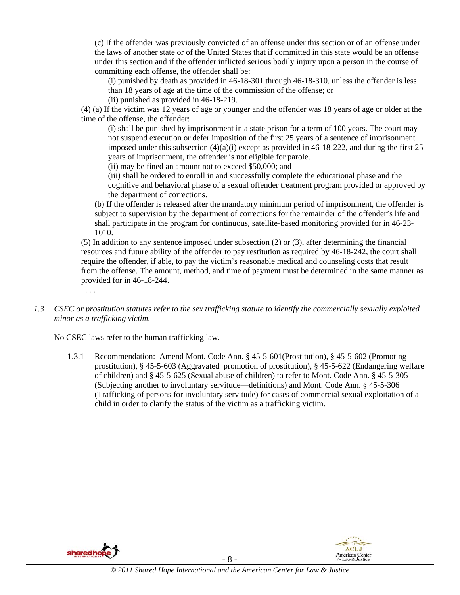(c) If the offender was previously convicted of an offense under this section or of an offense under the laws of another state or of the United States that if committed in this state would be an offense under this section and if the offender inflicted serious bodily injury upon a person in the course of committing each offense, the offender shall be:

(i) punished by death as provided in 46-18-301 through 46-18-310, unless the offender is less than 18 years of age at the time of the commission of the offense; or

(ii) punished as provided in 46-18-219.

(4) (a) If the victim was 12 years of age or younger and the offender was 18 years of age or older at the time of the offense, the offender:

(i) shall be punished by imprisonment in a state prison for a term of 100 years. The court may not suspend execution or defer imposition of the first 25 years of a sentence of imprisonment imposed under this subsection  $(4)(a)(i)$  except as provided in 46-18-222, and during the first 25 years of imprisonment, the offender is not eligible for parole.

(ii) may be fined an amount not to exceed \$50,000; and

(iii) shall be ordered to enroll in and successfully complete the educational phase and the cognitive and behavioral phase of a sexual offender treatment program provided or approved by the department of corrections.

(b) If the offender is released after the mandatory minimum period of imprisonment, the offender is subject to supervision by the department of corrections for the remainder of the offender's life and shall participate in the program for continuous, satellite-based monitoring provided for in 46-23- 1010.

(5) In addition to any sentence imposed under subsection (2) or (3), after determining the financial resources and future ability of the offender to pay restitution as required by 46-18-242, the court shall require the offender, if able, to pay the victim's reasonable medical and counseling costs that result from the offense. The amount, method, and time of payment must be determined in the same manner as provided for in 46-18-244.

*1.3 CSEC or prostitution statutes refer to the sex trafficking statute to identify the commercially sexually exploited minor as a trafficking victim.* 

No CSEC laws refer to the human trafficking law.

1.3.1 Recommendation: Amend Mont. Code Ann. § 45-5-601(Prostitution), § 45-5-602 (Promoting prostitution), § 45-5-603 (Aggravated promotion of prostitution), § 45-5-622 (Endangering welfare of children) and § 45-5-625 (Sexual abuse of children) to refer to Mont. Code Ann. § 45-5-305 (Subjecting another to involuntary servitude—definitions) and Mont. Code Ann. § 45-5-306 (Trafficking of persons for involuntary servitude) for cases of commercial sexual exploitation of a child in order to clarify the status of the victim as a trafficking victim.



. . . .

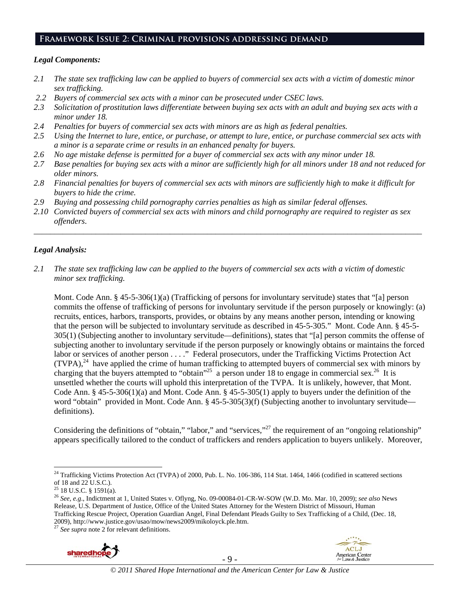## **Framework Issue 2: Criminal provisions addressing demand**

## *Legal Components:*

- *2.1 The state sex trafficking law can be applied to buyers of commercial sex acts with a victim of domestic minor sex trafficking.*
- *2.2 Buyers of commercial sex acts with a minor can be prosecuted under CSEC laws.*
- *2.3 Solicitation of prostitution laws differentiate between buying sex acts with an adult and buying sex acts with a minor under 18.*
- *2.4 Penalties for buyers of commercial sex acts with minors are as high as federal penalties.*
- *2.5 Using the Internet to lure, entice, or purchase, or attempt to lure, entice, or purchase commercial sex acts with a minor is a separate crime or results in an enhanced penalty for buyers.*
- *2.6 No age mistake defense is permitted for a buyer of commercial sex acts with any minor under 18.*
- *2.7 Base penalties for buying sex acts with a minor are sufficiently high for all minors under 18 and not reduced for older minors.*
- *2.8 Financial penalties for buyers of commercial sex acts with minors are sufficiently high to make it difficult for buyers to hide the crime.*
- *2.9 Buying and possessing child pornography carries penalties as high as similar federal offenses.*
- *2.10 Convicted buyers of commercial sex acts with minors and child pornography are required to register as sex offenders*.

\_\_\_\_\_\_\_\_\_\_\_\_\_\_\_\_\_\_\_\_\_\_\_\_\_\_\_\_\_\_\_\_\_\_\_\_\_\_\_\_\_\_\_\_\_\_\_\_\_\_\_\_\_\_\_\_\_\_\_\_\_\_\_\_\_\_\_\_\_\_\_\_\_\_\_\_\_\_\_\_\_\_\_\_\_\_\_\_\_\_\_\_\_\_

## *Legal Analysis:*

*2.1 The state sex trafficking law can be applied to the buyers of commercial sex acts with a victim of domestic minor sex trafficking.*

Mont. Code Ann. § 45-5-306(1)(a) (Trafficking of persons for involuntary servitude) states that "[a] person commits the offense of trafficking of persons for involuntary servitude if the person purposely or knowingly: (a) recruits, entices, harbors, transports, provides, or obtains by any means another person, intending or knowing that the person will be subjected to involuntary servitude as described in 45-5-305." Mont. Code Ann. § 45-5- 305(1) (Subjecting another to involuntary servitude—definitions), states that "[a] person commits the offense of subjecting another to involuntary servitude if the person purposely or knowingly obtains or maintains the forced labor or services of another person . . . ." Federal prosecutors, under the Trafficking Victims Protection Act  $(TVPA)<sup>24</sup>$  have applied the crime of human trafficking to attempted buyers of commercial sex with minors by charging that the buyers attempted to "obtain"<sup>25</sup> a person under 18 to engage in commercial sex.<sup>26</sup> It is unsettled whether the courts will uphold this interpretation of the TVPA. It is unlikely, however, that Mont. Code Ann. § 45-5-306(1)(a) and Mont. Code Ann. § 45-5-305(1) apply to buyers under the definition of the word "obtain" provided in Mont. Code Ann. § 45-5-305(3)(f) (Subjecting another to involuntary servitude definitions).

Considering the definitions of "obtain," "labor," and "services,"<sup>27</sup> the requirement of an "ongoing relationship" appears specifically tailored to the conduct of traffickers and renders application to buyers unlikely. Moreover,





 $^{24}$  Trafficking Victims Protection Act (TVPA) of 2000, Pub. L. No. 106-386, 114 Stat. 1464, 1466 (codified in scattered sections of 18 and 22 U.S.C.).

 $^{25}$  18 U.S.C. § 1591(a).

<sup>26</sup> *See, e.g*., Indictment at 1, United States v. Oflyng, No. 09-00084-01-CR-W-SOW (W.D. Mo. Mar. 10, 2009); *see also* News Release, U.S. Department of Justice, Office of the United States Attorney for the Western District of Missouri, Human Trafficking Rescue Project, Operation Guardian Angel, Final Defendant Pleads Guilty to Sex Trafficking of a Child, (Dec. 18, 2009), http://www.justice.gov/usao/mow/news2009/mikoloyck.ple.htm. 27 *See supra* note 2 for relevant definitions.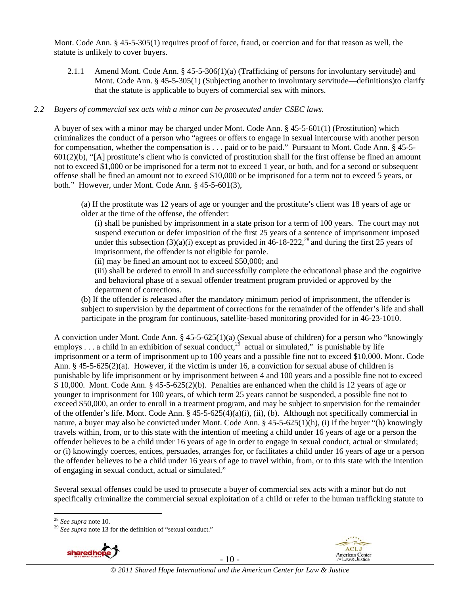Mont. Code Ann. § 45-5-305(1) requires proof of force, fraud, or coercion and for that reason as well, the statute is unlikely to cover buyers.

2.1.1 Amend Mont. Code Ann. § 45-5-306(1)(a) (Trafficking of persons for involuntary servitude) and Mont. Code Ann. § 45-5-305(1) (Subjecting another to involuntary servitude—definitions)to clarify that the statute is applicable to buyers of commercial sex with minors.

#### *2.2 Buyers of commercial sex acts with a minor can be prosecuted under CSEC laws.*

A buyer of sex with a minor may be charged under Mont. Code Ann. § 45-5-601(1) (Prostitution) which criminalizes the conduct of a person who "agrees or offers to engage in sexual intercourse with another person for compensation, whether the compensation is . . . paid or to be paid." Pursuant to Mont. Code Ann. § 45-5- 601(2)(b), "[A] prostitute's client who is convicted of prostitution shall for the first offense be fined an amount not to exceed \$1,000 or be imprisoned for a term not to exceed 1 year, or both, and for a second or subsequent offense shall be fined an amount not to exceed \$10,000 or be imprisoned for a term not to exceed 5 years, or both." However, under Mont. Code Ann. § 45-5-601(3),

(a) If the prostitute was 12 years of age or younger and the prostitute's client was 18 years of age or older at the time of the offense, the offender:

(i) shall be punished by imprisonment in a state prison for a term of 100 years. The court may not suspend execution or defer imposition of the first 25 years of a sentence of imprisonment imposed under this subsection  $(3)(a)(i)$  except as provided in 46-18-222,<sup>28</sup> and during the first 25 years of imprisonment, the offender is not eligible for parole.

(ii) may be fined an amount not to exceed \$50,000; and

(iii) shall be ordered to enroll in and successfully complete the educational phase and the cognitive and behavioral phase of a sexual offender treatment program provided or approved by the department of corrections.

(b) If the offender is released after the mandatory minimum period of imprisonment, the offender is subject to supervision by the department of corrections for the remainder of the offender's life and shall participate in the program for continuous, satellite-based monitoring provided for in 46-23-1010.

A conviction under Mont. Code Ann. § 45-5-625(1)(a) (Sexual abuse of children) for a person who "knowingly employs  $\ldots$  a child in an exhibition of sexual conduct.<sup>29</sup> actual or simulated," is punishable by life imprisonment or a term of imprisonment up to 100 years and a possible fine not to exceed \$10,000. Mont. Code Ann. § 45-5-625(2)(a). However, if the victim is under 16, a conviction for sexual abuse of children is punishable by life imprisonment or by imprisonment between 4 and 100 years and a possible fine not to exceed \$ 10,000. Mont. Code Ann. § 45-5-625(2)(b). Penalties are enhanced when the child is 12 years of age or younger to imprisonment for 100 years, of which term 25 years cannot be suspended, a possible fine not to exceed \$50,000, an order to enroll in a treatment program, and may be subject to supervision for the remainder of the offender's life. Mont. Code Ann. § 45-5-625(4)(a)(i), (ii), (b). Although not specifically commercial in nature, a buyer may also be convicted under Mont. Code Ann. § 45-5-625(1)(h), (i) if the buyer "(h) knowingly travels within, from, or to this state with the intention of meeting a child under 16 years of age or a person the offender believes to be a child under 16 years of age in order to engage in sexual conduct, actual or simulated; or (i) knowingly coerces, entices, persuades, arranges for, or facilitates a child under 16 years of age or a person the offender believes to be a child under 16 years of age to travel within, from, or to this state with the intention of engaging in sexual conduct, actual or simulated."

Several sexual offenses could be used to prosecute a buyer of commercial sex acts with a minor but do not specifically criminalize the commercial sexual exploitation of a child or refer to the human trafficking statute to

<sup>&</sup>lt;sup>28</sup> *See supra* note 10.<br><sup>29</sup> *See supra* note 13 for the definition of "sexual conduct."





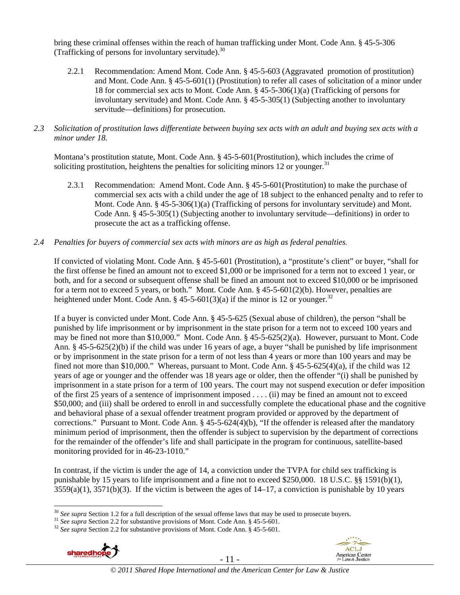bring these criminal offenses within the reach of human trafficking under Mont. Code Ann. § 45-5-306 (Trafficking of persons for involuntary servitude). $30$ 

- 2.2.1 Recommendation: Amend Mont. Code Ann. § 45-5-603 (Aggravated promotion of prostitution) and Mont. Code Ann. § 45-5-601(1) (Prostitution) to refer all cases of solicitation of a minor under 18 for commercial sex acts to Mont. Code Ann. § 45-5-306(1)(a) (Trafficking of persons for involuntary servitude) and Mont. Code Ann. § 45-5-305(1) (Subjecting another to involuntary servitude—definitions) for prosecution.
- *2.3 Solicitation of prostitution laws differentiate between buying sex acts with an adult and buying sex acts with a minor under 18.*

Montana's prostitution statute, Mont. Code Ann. § 45-5-601(Prostitution), which includes the crime of soliciting prostitution, heightens the penalties for soliciting minors 12 or younger.<sup>31</sup>

2.3.1 Recommendation: Amend Mont. Code Ann. § 45-5-601(Prostitution) to make the purchase of commercial sex acts with a child under the age of 18 subject to the enhanced penalty and to refer to Mont. Code Ann. § 45-5-306(1)(a) (Trafficking of persons for involuntary servitude) and Mont. Code Ann. § 45-5-305(1) (Subjecting another to involuntary servitude—definitions) in order to prosecute the act as a trafficking offense.

#### *2.4 Penalties for buyers of commercial sex acts with minors are as high as federal penalties.*

If convicted of violating Mont. Code Ann. § 45-5-601 (Prostitution), a "prostitute's client" or buyer, "shall for the first offense be fined an amount not to exceed \$1,000 or be imprisoned for a term not to exceed 1 year, or both, and for a second or subsequent offense shall be fined an amount not to exceed \$10,000 or be imprisoned for a term not to exceed 5 years, or both." Mont. Code Ann. § 45-5-601(2)(b). However, penalties are heightened under Mont. Code Ann. § 45-5-601(3)(a) if the minor is 12 or younger.<sup>32</sup>

If a buyer is convicted under Mont. Code Ann. § 45-5-625 (Sexual abuse of children), the person "shall be punished by life imprisonment or by imprisonment in the state prison for a term not to exceed 100 years and may be fined not more than \$10,000." Mont. Code Ann. § 45-5-625(2)(a). However, pursuant to Mont. Code Ann. § 45-5-625(2)(b) if the child was under 16 years of age, a buyer "shall be punished by life imprisonment or by imprisonment in the state prison for a term of not less than 4 years or more than 100 years and may be fined not more than \$10,000." Whereas, pursuant to Mont. Code Ann. § 45-5-625(4)(a), if the child was 12 years of age or younger and the offender was 18 years age or older, then the offender "(i) shall be punished by imprisonment in a state prison for a term of 100 years. The court may not suspend execution or defer imposition of the first 25 years of a sentence of imprisonment imposed . . . . (ii) may be fined an amount not to exceed \$50,000; and (iii) shall be ordered to enroll in and successfully complete the educational phase and the cognitive and behavioral phase of a sexual offender treatment program provided or approved by the department of corrections." Pursuant to Mont. Code Ann. § 45-5-624(4)(b), "If the offender is released after the mandatory minimum period of imprisonment, then the offender is subject to supervision by the department of corrections for the remainder of the offender's life and shall participate in the program for continuous, satellite-based monitoring provided for in 46-23-1010."

In contrast, if the victim is under the age of 14, a conviction under the TVPA for child sex trafficking is punishable by 15 years to life imprisonment and a fine not to exceed \$250,000. 18 U.S.C. §§ 1591(b)(1),  $3559(a)(1)$ ,  $3571(b)(3)$ . If the victim is between the ages of  $14-17$ , a conviction is punishable by 10 years



 $30$  See supra Section 1.2 for a full description of the sexual offense laws that may be used to prosecute buyers.

<sup>&</sup>lt;sup>31</sup> See supra Section 2.2 for substantive provisions of Mont. Code Ann. § 45-5-601.<br><sup>32</sup> See supra Section 2.2 for substantive provisions of Mont. Code Ann. § 45-5-601.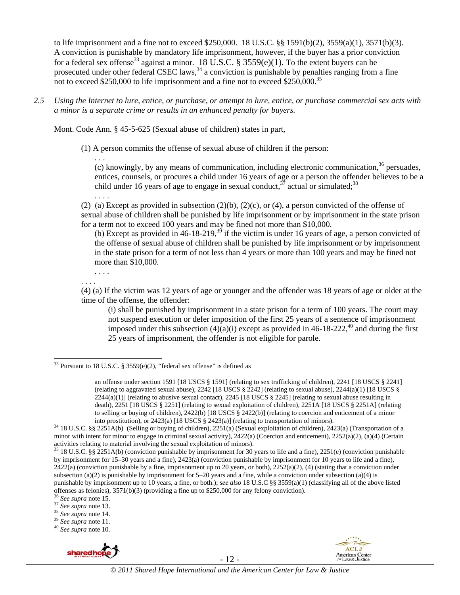to life imprisonment and a fine not to exceed \$250,000. 18 U.S.C. §§ 1591(b)(2), 3559(a)(1), 3571(b)(3). A conviction is punishable by mandatory life imprisonment, however, if the buyer has a prior conviction for a federal sex offense<sup>33</sup> against a minor. 18 U.S.C. §  $3559(e)(1)$ . To the extent buyers can be prosecuted under other federal CSEC laws,<sup>34</sup> a conviction is punishable by penalties ranging from a fine not to exceed \$250,000 to life imprisonment and a fine not to exceed \$250,000.<sup>35</sup>

*2.5 Using the Internet to lure, entice, or purchase, or attempt to lure, entice, or purchase commercial sex acts with a minor is a separate crime or results in an enhanced penalty for buyers.* 

Mont. Code Ann. § 45-5-625 (Sexual abuse of children) states in part,

(1) A person commits the offense of sexual abuse of children if the person:

(c) knowingly, by any means of communication, including electronic communication,  $36$  persuades, entices, counsels, or procures a child under 16 years of age or a person the offender believes to be a child under 16 years of age to engage in sexual conduct,  $37$  actual or simulated;  $38$ 

(2) (a) Except as provided in subsection  $(2)(b)$ ,  $(2)(c)$ , or  $(4)$ , a person convicted of the offense of sexual abuse of children shall be punished by life imprisonment or by imprisonment in the state prison for a term not to exceed 100 years and may be fined not more than \$10,000.

(b) Except as provided in  $46-18-219$ ,<sup>39</sup> if the victim is under 16 years of age, a person convicted of the offense of sexual abuse of children shall be punished by life imprisonment or by imprisonment in the state prison for a term of not less than 4 years or more than 100 years and may be fined not more than \$10,000.

. . . . . . . .

 $\overline{a}$ 

. . .

. . . .

(4) (a) If the victim was 12 years of age or younger and the offender was 18 years of age or older at the time of the offense, the offender:

(i) shall be punished by imprisonment in a state prison for a term of 100 years. The court may not suspend execution or defer imposition of the first 25 years of a sentence of imprisonment imposed under this subsection  $(4)(a)(i)$  except as provided in 46-18-222,<sup>40</sup> and during the first 25 years of imprisonment, the offender is not eligible for parole.







<sup>&</sup>lt;sup>33</sup> Pursuant to 18 U.S.C. § 3559(e)(2), "federal sex offense" is defined as

an offense under section 1591 [18 USCS § 1591] (relating to sex trafficking of children), 2241 [18 USCS § 2241] (relating to aggravated sexual abuse), 2242 [18 USCS § 2242] (relating to sexual abuse), 2244(a)(1) [18 USCS § 2244(a)(1)] (relating to abusive sexual contact), 2245 [18 USCS § 2245] (relating to sexual abuse resulting in death), 2251 [18 USCS § 2251] (relating to sexual exploitation of children), 2251A [18 USCS § 2251A] (relating to selling or buying of children),  $2422(b)$  [18 USCS § 2422(b)] (relating to coercion and enticement of a minor into prostitution), or  $2423(a)$  [18 USCS § 2423(a)] (relating to transportation of minors).

 $34$  18 U.S.C. §§ 2251A(b) (Selling or buying of children), 2251(a) (Sexual exploitation of children), 2423(a) (Transportation of a minor with intent for minor to engage in criminal sexual activity), 2422(a) (Coercion and enticement), 2252(a)(2), (a)(4) (Certain activities relating to material involving the sexual exploitation of minors).

<sup>&</sup>lt;sup>35</sup> 18 U.S.C. §§ 2251A(b) (conviction punishable by imprisonment for 30 years to life and a fine), 2251(e) (conviction punishable by imprisonment for 15–30 years and a fine), 2423(a) (conviction punishable by imprisonment for 10 years to life and a fine),  $2422(a)$  (conviction punishable by a fine, imprisonment up to 20 years, or both),  $2252(a)(2)$ , (4) (stating that a conviction under subsection (a)(2) is punishable by imprisonment for  $5-20$  years and a fine, while a conviction under subsection (a)(4) is punishable by imprisonment up to 10 years, a fine, or both.); *see also* 18 U.S.C §§ 3559(a)(1) (classifying all of the above listed offenses as felonies), 3571(b)(3) (providing a fine up to \$250,000 for any felony conviction).<br><sup>36</sup> See supra note 15.<br><sup>37</sup> See supra note 13.<br><sup>38</sup> See supra note 14.<br><sup>39</sup> See supra note 14.<br><sup>39</sup> See supra note 11.<br><sup>40</sup> S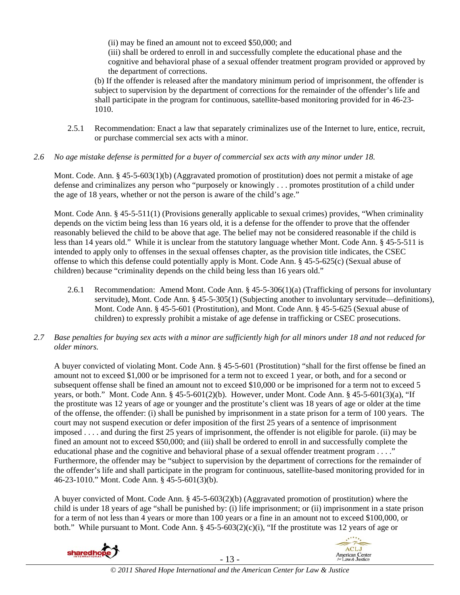(ii) may be fined an amount not to exceed \$50,000; and

(iii) shall be ordered to enroll in and successfully complete the educational phase and the cognitive and behavioral phase of a sexual offender treatment program provided or approved by the department of corrections.

(b) If the offender is released after the mandatory minimum period of imprisonment, the offender is subject to supervision by the department of corrections for the remainder of the offender's life and shall participate in the program for continuous, satellite-based monitoring provided for in 46-23- 1010.

- 2.5.1 Recommendation: Enact a law that separately criminalizes use of the Internet to lure, entice, recruit, or purchase commercial sex acts with a minor.
- *2.6 No age mistake defense is permitted for a buyer of commercial sex acts with any minor under 18.*

Mont. Code. Ann. § 45-5-603(1)(b) (Aggravated promotion of prostitution) does not permit a mistake of age defense and criminalizes any person who "purposely or knowingly . . . promotes prostitution of a child under the age of 18 years, whether or not the person is aware of the child's age."

Mont. Code Ann. § 45-5-511(1) (Provisions generally applicable to sexual crimes) provides, "When criminality depends on the victim being less than 16 years old, it is a defense for the offender to prove that the offender reasonably believed the child to be above that age. The belief may not be considered reasonable if the child is less than 14 years old." While it is unclear from the statutory language whether Mont. Code Ann. § 45-5-511 is intended to apply only to offenses in the sexual offenses chapter, as the provision title indicates, the CSEC offense to which this defense could potentially apply is Mont. Code Ann. § 45-5-625(c) (Sexual abuse of children) because "criminality depends on the child being less than 16 years old."

2.6.1 Recommendation: Amend Mont. Code Ann. § 45-5-306(1)(a) (Trafficking of persons for involuntary servitude), Mont. Code Ann. § 45-5-305(1) (Subjecting another to involuntary servitude—definitions), Mont. Code Ann. § 45-5-601 (Prostitution), and Mont. Code Ann. § 45-5-625 (Sexual abuse of children) to expressly prohibit a mistake of age defense in trafficking or CSEC prosecutions.

# *2.7 Base penalties for buying sex acts with a minor are sufficiently high for all minors under 18 and not reduced for older minors.*

A buyer convicted of violating Mont. Code Ann. § 45-5-601 (Prostitution) "shall for the first offense be fined an amount not to exceed \$1,000 or be imprisoned for a term not to exceed 1 year, or both, and for a second or subsequent offense shall be fined an amount not to exceed \$10,000 or be imprisoned for a term not to exceed 5 years, or both." Mont. Code Ann. § 45-5-601(2)(b). However, under Mont. Code Ann. § 45-5-601(3)(a), "If the prostitute was 12 years of age or younger and the prostitute's client was 18 years of age or older at the time of the offense, the offender: (i) shall be punished by imprisonment in a state prison for a term of 100 years. The court may not suspend execution or defer imposition of the first 25 years of a sentence of imprisonment imposed . . . . and during the first 25 years of imprisonment, the offender is not eligible for parole. (ii) may be fined an amount not to exceed \$50,000; and (iii) shall be ordered to enroll in and successfully complete the educational phase and the cognitive and behavioral phase of a sexual offender treatment program . . . ." Furthermore, the offender may be "subject to supervision by the department of corrections for the remainder of the offender's life and shall participate in the program for continuous, satellite-based monitoring provided for in 46-23-1010." Mont. Code Ann. § 45-5-601(3)(b).

A buyer convicted of Mont. Code Ann. § 45-5-603(2)(b) (Aggravated promotion of prostitution) where the child is under 18 years of age "shall be punished by: (i) life imprisonment; or (ii) imprisonment in a state prison for a term of not less than 4 years or more than 100 years or a fine in an amount not to exceed \$100,000, or both." While pursuant to Mont. Code Ann.  $\S$  45-5-603(2)(c)(i), "If the prostitute was 12 years of age or

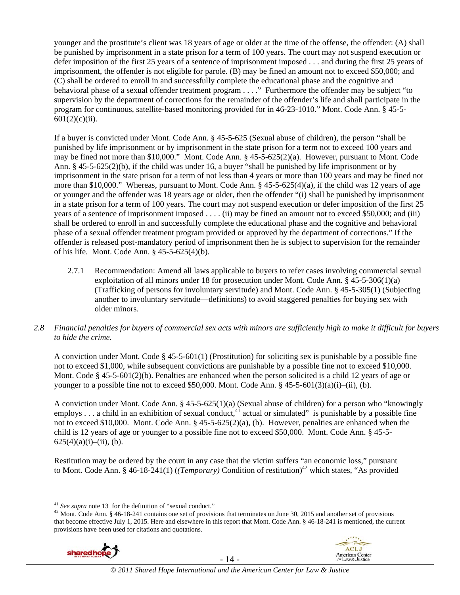younger and the prostitute's client was 18 years of age or older at the time of the offense, the offender: (A) shall be punished by imprisonment in a state prison for a term of 100 years. The court may not suspend execution or defer imposition of the first 25 years of a sentence of imprisonment imposed . . . and during the first 25 years of imprisonment, the offender is not eligible for parole. (B) may be fined an amount not to exceed \$50,000; and (C) shall be ordered to enroll in and successfully complete the educational phase and the cognitive and behavioral phase of a sexual offender treatment program . . . ." Furthermore the offender may be subject "to supervision by the department of corrections for the remainder of the offender's life and shall participate in the program for continuous, satellite-based monitoring provided for in 46-23-1010." Mont. Code Ann. § 45-5-  $601(2)(c)(ii)$ .

If a buyer is convicted under Mont. Code Ann. § 45-5-625 (Sexual abuse of children), the person "shall be punished by life imprisonment or by imprisonment in the state prison for a term not to exceed 100 years and may be fined not more than \$10,000." Mont. Code Ann. § 45-5-625(2)(a). However, pursuant to Mont. Code Ann. § 45-5-625(2)(b), if the child was under 16, a buyer "shall be punished by life imprisonment or by imprisonment in the state prison for a term of not less than 4 years or more than 100 years and may be fined not more than \$10,000." Whereas, pursuant to Mont. Code Ann. § 45-5-625(4)(a), if the child was 12 years of age or younger and the offender was 18 years age or older, then the offender "(i) shall be punished by imprisonment in a state prison for a term of 100 years. The court may not suspend execution or defer imposition of the first 25 years of a sentence of imprisonment imposed . . . . (ii) may be fined an amount not to exceed \$50,000; and (iii) shall be ordered to enroll in and successfully complete the educational phase and the cognitive and behavioral phase of a sexual offender treatment program provided or approved by the department of corrections." If the offender is released post-mandatory period of imprisonment then he is subject to supervision for the remainder of his life. Mont. Code Ann. § 45-5-625(4)(b).

- 2.7.1 Recommendation: Amend all laws applicable to buyers to refer cases involving commercial sexual exploitation of all minors under 18 for prosecution under Mont. Code Ann. § 45-5-306(1)(a) (Trafficking of persons for involuntary servitude) and Mont. Code Ann. § 45-5-305(1) (Subjecting another to involuntary servitude—definitions) to avoid staggered penalties for buying sex with older minors.
- *2.8 Financial penalties for buyers of commercial sex acts with minors are sufficiently high to make it difficult for buyers to hide the crime.*

A conviction under Mont. Code § 45-5-601(1) (Prostitution) for soliciting sex is punishable by a possible fine not to exceed \$1,000, while subsequent convictions are punishable by a possible fine not to exceed \$10,000. Mont. Code § 45-5-601(2)(b). Penalties are enhanced when the person solicited is a child 12 years of age or younger to a possible fine not to exceed \$50,000. Mont. Code Ann.  $§$  45-5-601(3)(a)(i)–(ii), (b).

A conviction under Mont. Code Ann. § 45-5-625(1)(a) (Sexual abuse of children) for a person who "knowingly employs  $\dots$  a child in an exhibition of sexual conduct,<sup>41</sup> actual or simulated" is punishable by a possible fine not to exceed \$10,000. Mont. Code Ann. § 45-5-625(2)(a), (b). However, penalties are enhanced when the child is 12 years of age or younger to a possible fine not to exceed \$50,000. Mont. Code Ann. § 45-5-  $625(4)(a)(i)$ –(ii), (b).

Restitution may be ordered by the court in any case that the victim suffers "an economic loss," pursuant to Mont. Code Ann. § 46-18-241(1) (*(Temporary)* Condition of restitution)<sup>42</sup> which states, "As provided

<sup>&</sup>lt;sup>42</sup> Mont. Code Ann. § 46-18-241 contains one set of provisions that terminates on June 30, 2015 and another set of provisions that become effective July 1, 2015. Here and elsewhere in this report that Mont. Code Ann. § 46-18-241 is mentioned, the current provisions have been used for citations and quotations.





 $41$  See supra note 13 for the definition of "sexual conduct."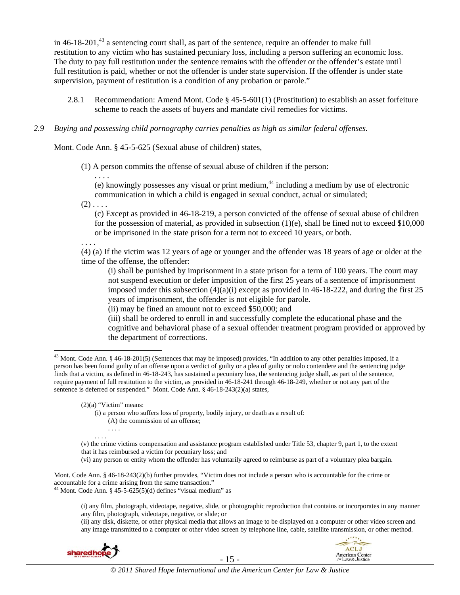in 46-18-201,<sup>43</sup> a sentencing court shall, as part of the sentence, require an offender to make full restitution to any victim who has sustained pecuniary loss, including a person suffering an economic loss. The duty to pay full restitution under the sentence remains with the offender or the offender's estate until full restitution is paid, whether or not the offender is under state supervision. If the offender is under state supervision, payment of restitution is a condition of any probation or parole."

2.8.1 Recommendation: Amend Mont. Code § 45-5-601(1) (Prostitution) to establish an asset forfeiture scheme to reach the assets of buyers and mandate civil remedies for victims.

#### *2.9 Buying and possessing child pornography carries penalties as high as similar federal offenses.*

Mont. Code Ann. § 45-5-625 (Sexual abuse of children) states,

(1) A person commits the offense of sexual abuse of children if the person:

. . . . (e) knowingly possesses any visual or print medium, $44$  including a medium by use of electronic communication in which a child is engaged in sexual conduct, actual or simulated;

 $(2)$  . . . .

(c) Except as provided in 46-18-219, a person convicted of the offense of sexual abuse of children for the possession of material, as provided in subsection (1)(e), shall be fined not to exceed \$10,000 or be imprisoned in the state prison for a term not to exceed 10 years, or both.

. . . .

 $\overline{a}$ 

(4) (a) If the victim was 12 years of age or younger and the offender was 18 years of age or older at the time of the offense, the offender:

(i) shall be punished by imprisonment in a state prison for a term of 100 years. The court may not suspend execution or defer imposition of the first 25 years of a sentence of imprisonment imposed under this subsection  $(4)(a)(i)$  except as provided in 46-18-222, and during the first 25 years of imprisonment, the offender is not eligible for parole.

(ii) may be fined an amount not to exceed \$50,000; and

(iii) shall be ordered to enroll in and successfully complete the educational phase and the cognitive and behavioral phase of a sexual offender treatment program provided or approved by the department of corrections.

 $(2)(a)$  "Victim" means:

(i) a person who suffers loss of property, bodily injury, or death as a result of:

(A) the commission of an offense;

. . . .

- (v) the crime victims compensation and assistance program established under Title 53, chapter 9, part 1, to the extent that it has reimbursed a victim for pecuniary loss; and
- (vi) any person or entity whom the offender has voluntarily agreed to reimburse as part of a voluntary plea bargain.

Mont. Code Ann. § 46-18-243(2)(b) further provides, "Victim does not include a person who is accountable for the crime or accountable for a crime arising from the same transaction."

<sup>44</sup> Mont. Code Ann. § 45-5-625(5)(d) defines "visual medium" as

(i) any film, photograph, videotape, negative, slide, or photographic reproduction that contains or incorporates in any manner any film, photograph, videotape, negative, or slide; or

(ii) any disk, diskette, or other physical media that allows an image to be displayed on a computer or other video screen and any image transmitted to a computer or other video screen by telephone line, cable, satellite transmission, or other method.



 $43$  Mont. Code Ann. § 46-18-201(5) (Sentences that may be imposed) provides, "In addition to any other penalties imposed, if a person has been found guilty of an offense upon a verdict of guilty or a plea of guilty or nolo contendere and the sentencing judge finds that a victim, as defined in 46-18-243, has sustained a pecuniary loss, the sentencing judge shall, as part of the sentence, require payment of full restitution to the victim, as provided in 46-18-241 through 46-18-249, whether or not any part of the sentence is deferred or suspended." Mont. Code Ann. § 46-18-243(2)(a) states,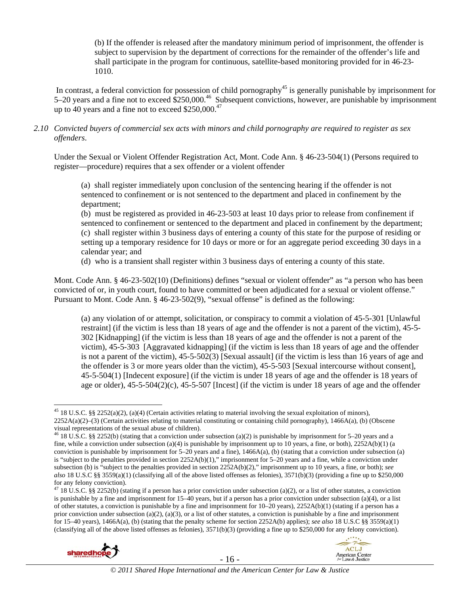(b) If the offender is released after the mandatory minimum period of imprisonment, the offender is subject to supervision by the department of corrections for the remainder of the offender's life and shall participate in the program for continuous, satellite-based monitoring provided for in 46-23- 1010.

In contrast, a federal conviction for possession of child pornography<sup>45</sup> is generally punishable by imprisonment for 5–20 years and a fine not to exceed \$250,000.46 Subsequent convictions, however, are punishable by imprisonment up to 40 years and a fine not to exceed  $$250,000.<sup>47</sup>$ 

#### *2.10 Convicted buyers of commercial sex acts with minors and child pornography are required to register as sex offenders*.

Under the Sexual or Violent Offender Registration Act, Mont. Code Ann. § 46-23-504(1) (Persons required to register—procedure) requires that a sex offender or a violent offender

(a) shall register immediately upon conclusion of the sentencing hearing if the offender is not sentenced to confinement or is not sentenced to the department and placed in confinement by the department;

(b) must be registered as provided in 46-23-503 at least 10 days prior to release from confinement if sentenced to confinement or sentenced to the department and placed in confinement by the department; (c) shall register within 3 business days of entering a county of this state for the purpose of residing or setting up a temporary residence for 10 days or more or for an aggregate period exceeding 30 days in a calendar year; and

(d) who is a transient shall register within 3 business days of entering a county of this state.

Mont. Code Ann. § 46-23-502(10) (Definitions) defines "sexual or violent offender" as "a person who has been convicted of or, in youth court, found to have committed or been adjudicated for a sexual or violent offense." Pursuant to Mont. Code Ann. § 46-23-502(9), "sexual offense" is defined as the following:

(a) any violation of or attempt, solicitation, or conspiracy to commit a violation of 45-5-301 [Unlawful restraint] (if the victim is less than 18 years of age and the offender is not a parent of the victim), 45-5- 302 [Kidnapping] (if the victim is less than 18 years of age and the offender is not a parent of the victim), 45-5-303 [Aggravated kidnapping] (if the victim is less than 18 years of age and the offender is not a parent of the victim), 45-5-502(3) [Sexual assault] (if the victim is less than 16 years of age and the offender is 3 or more years older than the victim), 45-5-503 [Sexual intercourse without consent], 45-5-504(1) [Indecent exposure] (if the victim is under 18 years of age and the offender is 18 years of age or older),  $45-5-504(2)(c)$ ,  $45-5-507$  [Incest] (if the victim is under 18 years of age and the offender

<sup>&</sup>lt;sup>47</sup> 18 U.S.C. §§ 2252(b) (stating if a person has a prior conviction under subsection (a)(2), or a list of other statutes, a conviction is punishable by a fine and imprisonment for 15–40 years, but if a person has a prior conviction under subsection (a)(4), or a list of other statutes, a conviction is punishable by a fine and imprisonment for  $10-20$  years),  $2252A(b)(1)$  (stating if a person has a prior conviction under subsection (a)(2), (a)(3), or a list of other statutes, a conviction is punishable by a fine and imprisonment for 15–40 years), 1466A(a), (b) (stating that the penalty scheme for section 2252A(b) applies); *see also* 18 U.S.C §§ 3559(a)(1) (classifying all of the above listed offenses as felonies), 3571(b)(3) (providing a fine up to \$250,000 for any felony conviction).





 $\overline{a}$  $45$  18 U.S.C. §§ 2252(a)(2), (a)(4) (Certain activities relating to material involving the sexual exploitation of minors), 2252A(a)(2)–(3) (Certain activities relating to material constituting or containing child pornography), 1466A(a), (b) (Obscene visual representations of the sexual abuse of children).

<sup>&</sup>lt;sup>46</sup> 18 U.S.C. §§ 2252(b) (stating that a conviction under subsection (a)(2) is punishable by imprisonment for 5–20 years and a fine, while a conviction under subsection (a)(4) is punishable by imprisonment up to 10 years, a fine, or both),  $2252A(b)(1)$  (a conviction is punishable by imprisonment for  $5-20$  years and a fine),  $1466A(a)$ , (b) (stating that a conviction under subsection (a) is "subject to the penalties provided in section  $2252A(b)(1)$ ," imprisonment for 5–20 years and a fine, while a conviction under subsection (b) is "subject to the penalties provided in section 2252A(b)(2)," imprisonment up to 10 years, a fine, or both); *see also* 18 U.S.C §§ 3559(a)(1) (classifying all of the above listed offenses as felonies), 3571(b)(3) (providing a fine up to \$250,000 for any felony conviction).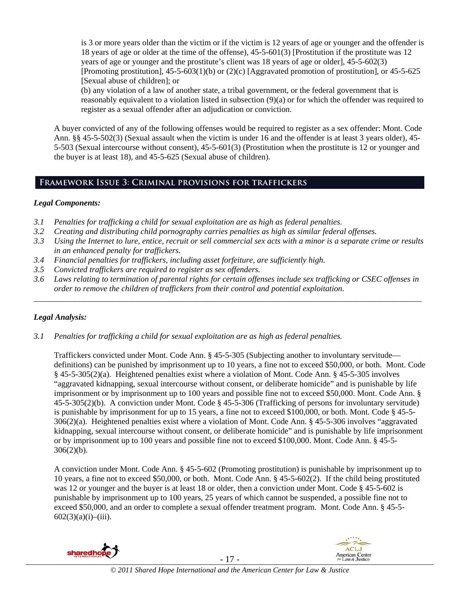is 3 or more years older than the victim or if the victim is 12 years of age or younger and the offender is 18 years of age or older at the time of the offense), 45-5-601(3) [Prostitution if the prostitute was 12 years of age or younger and the prostitute's client was 18 years of age or older], 45-5-602(3) [Promoting prostitution],  $45-5-603(1)(b)$  or  $(2)(c)$  [Aggravated promotion of prostitution], or  $45-5-625$ [Sexual abuse of children]; or

(b) any violation of a law of another state, a tribal government, or the federal government that is reasonably equivalent to a violation listed in subsection (9)(a) or for which the offender was required to register as a sexual offender after an adjudication or conviction.

A buyer convicted of any of the following offenses would be required to register as a sex offender: Mont. Code Ann. §§ 45-5-502(3) (Sexual assault when the victim is under 16 and the offender is at least 3 years older), 45- 5-503 (Sexual intercourse without consent), 45-5-601(3) (Prostitution when the prostitute is 12 or younger and the buyer is at least 18), and 45-5-625 (Sexual abuse of children).

# **Framework Issue 3: Criminal provisions for traffickers**

## *Legal Components:*

- *3.1 Penalties for trafficking a child for sexual exploitation are as high as federal penalties.*
- *3.2 Creating and distributing child pornography carries penalties as high as similar federal offenses.*
- *3.3 Using the Internet to lure, entice, recruit or sell commercial sex acts with a minor is a separate crime or results in an enhanced penalty for traffickers.*
- *3.4 Financial penalties for traffickers, including asset forfeiture, are sufficiently high.*
- *3.5 Convicted traffickers are required to register as sex offenders.*
- *3.6 Laws relating to termination of parental rights for certain offenses include sex trafficking or CSEC offenses in order to remove the children of traffickers from their control and potential exploitation.*

*\_\_\_\_\_\_\_\_\_\_\_\_\_\_\_\_\_\_\_\_\_\_\_\_\_\_\_\_\_\_\_\_\_\_\_\_\_\_\_\_\_\_\_\_\_\_\_\_\_\_\_\_\_\_\_\_\_\_\_\_\_\_\_\_\_\_\_\_\_\_\_\_\_\_\_\_\_\_\_\_\_\_\_\_\_\_\_\_\_\_\_\_\_\_* 

# *Legal Analysis:*

*3.1 Penalties for trafficking a child for sexual exploitation are as high as federal penalties.* 

Traffickers convicted under Mont. Code Ann. § 45-5-305 (Subjecting another to involuntary servitude definitions) can be punished by imprisonment up to 10 years, a fine not to exceed \$50,000, or both. Mont. Code § 45-5-305(2)(a). Heightened penalties exist where a violation of Mont. Code Ann. § 45-5-305 involves "aggravated kidnapping, sexual intercourse without consent, or deliberate homicide" and is punishable by life imprisonment or by imprisonment up to 100 years and possible fine not to exceed \$50,000. Mont. Code Ann. § 45-5-305(2)(b). A conviction under Mont. Code § 45-5-306 (Trafficking of persons for involuntary servitude) is punishable by imprisonment for up to 15 years, a fine not to exceed \$100,000, or both. Mont. Code § 45-5- 306(2)(a). Heightened penalties exist where a violation of Mont. Code Ann. § 45-5-306 involves "aggravated kidnapping, sexual intercourse without consent, or deliberate homicide" and is punishable by life imprisonment or by imprisonment up to 100 years and possible fine not to exceed \$100,000. Mont. Code Ann. § 45-5- 306(2)(b).

A conviction under Mont. Code Ann. § 45-5-602 (Promoting prostitution) is punishable by imprisonment up to 10 years, a fine not to exceed \$50,000, or both. Mont. Code Ann. § 45-5-602(2). If the child being prostituted was 12 or younger and the buyer is at least 18 or older, then a conviction under Mont. Code § 45-5-602 is punishable by imprisonment up to 100 years, 25 years of which cannot be suspended, a possible fine not to exceed \$50,000, and an order to complete a sexual offender treatment program. Mont. Code Ann. § 45-5-  $602(3)(a)(i)$ –(iii).



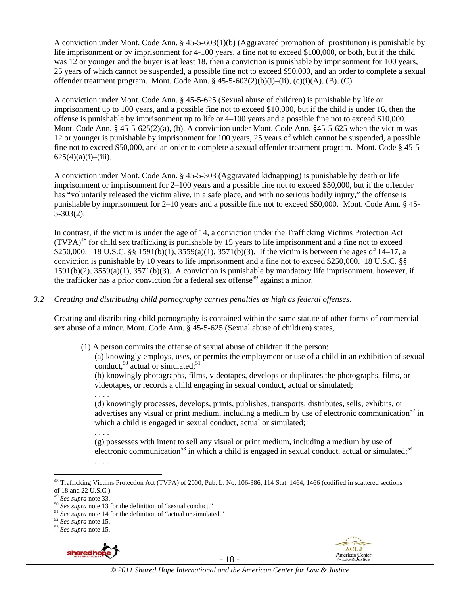A conviction under Mont. Code Ann. § 45-5-603(1)(b) (Aggravated promotion of prostitution) is punishable by life imprisonment or by imprisonment for 4-100 years, a fine not to exceed \$100,000, or both, but if the child was 12 or younger and the buyer is at least 18, then a conviction is punishable by imprisonment for 100 years, 25 years of which cannot be suspended, a possible fine not to exceed \$50,000, and an order to complete a sexual offender treatment program. Mont. Code Ann.  $\S 45-5-603(2)(b)(i)-(ii)$ , (c)(i)(A), (B), (C).

A conviction under Mont. Code Ann. § 45-5-625 (Sexual abuse of children) is punishable by life or imprisonment up to 100 years, and a possible fine not to exceed \$10,000, but if the child is under 16, then the offense is punishable by imprisonment up to life or 4–100 years and a possible fine not to exceed \$10,000. Mont. Code Ann. § 45-5-625(2)(a), (b). A conviction under Mont. Code Ann. §45-5-625 when the victim was 12 or younger is punishable by imprisonment for 100 years, 25 years of which cannot be suspended, a possible fine not to exceed \$50,000, and an order to complete a sexual offender treatment program. Mont. Code § 45-5-  $625(4)(a)(i)$ –(iii).

A conviction under Mont. Code Ann. § 45-5-303 (Aggravated kidnapping) is punishable by death or life imprisonment or imprisonment for 2–100 years and a possible fine not to exceed \$50,000, but if the offender has "voluntarily released the victim alive, in a safe place, and with no serious bodily injury," the offense is punishable by imprisonment for 2–10 years and a possible fine not to exceed \$50,000. Mont. Code Ann. § 45- 5-303(2).

In contrast, if the victim is under the age of 14, a conviction under the Trafficking Victims Protection Act  $(TVPA)<sup>48</sup>$  for child sex trafficking is punishable by 15 years to life imprisonment and a fine not to exceed \$250,000. 18 U.S.C. §§ 1591(b)(1), 3559(a)(1), 3571(b)(3). If the victim is between the ages of 14–17, a conviction is punishable by 10 years to life imprisonment and a fine not to exceed \$250,000. 18 U.S.C. §§ 1591(b)(2), 3559(a)(1), 3571(b)(3). A conviction is punishable by mandatory life imprisonment, however, if the trafficker has a prior conviction for a federal sex offense<sup>49</sup> against a minor.

#### *3.2 Creating and distributing child pornography carries penalties as high as federal offenses*.

Creating and distributing child pornography is contained within the same statute of other forms of commercial sex abuse of a minor. Mont. Code Ann. § 45-5-625 (Sexual abuse of children) states,

(1) A person commits the offense of sexual abuse of children if the person:

(a) knowingly employs, uses, or permits the employment or use of a child in an exhibition of sexual conduct,<sup>50</sup> actual or simulated;<sup>51</sup>

(b) knowingly photographs, films, videotapes, develops or duplicates the photographs, films, or videotapes, or records a child engaging in sexual conduct, actual or simulated;

. . . .

(d) knowingly processes, develops, prints, publishes, transports, distributes, sells, exhibits, or advertises any visual or print medium, including a medium by use of electronic communication<sup>52</sup> in which a child is engaged in sexual conduct, actual or simulated;

. . . .

(g) possesses with intent to sell any visual or print medium, including a medium by use of electronic communication<sup>53</sup> in which a child is engaged in sexual conduct, actual or simulated;<sup>54</sup>





<sup>. . . .</sup> 

<sup>&</sup>lt;sup>48</sup> Trafficking Victims Protection Act (TVPA) of 2000, Pub. L. No. 106-386, 114 Stat. 1464, 1466 (codified in scattered sections of 18 and 22 U.S.C.).<br> $^{49}$  See supra note 33.

<sup>&</sup>lt;sup>50</sup> See supra note 13 for the definition of "sexual conduct."<br><sup>51</sup> See supra note 14 for the definition of "actual or simulated."<br><sup>52</sup> See supra note 15.<br><sup>53</sup> See supra note 15.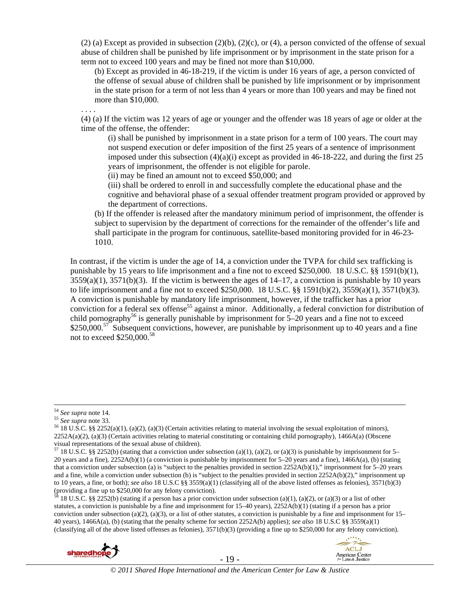$(2)$  (a) Except as provided in subsection  $(2)(b)$ ,  $(2)(c)$ , or  $(4)$ , a person convicted of the offense of sexual abuse of children shall be punished by life imprisonment or by imprisonment in the state prison for a term not to exceed 100 years and may be fined not more than \$10,000.

(b) Except as provided in 46-18-219, if the victim is under 16 years of age, a person convicted of the offense of sexual abuse of children shall be punished by life imprisonment or by imprisonment in the state prison for a term of not less than 4 years or more than 100 years and may be fined not more than \$10,000.

. . . .

(4) (a) If the victim was 12 years of age or younger and the offender was 18 years of age or older at the time of the offense, the offender:

(i) shall be punished by imprisonment in a state prison for a term of 100 years. The court may not suspend execution or defer imposition of the first 25 years of a sentence of imprisonment imposed under this subsection  $(4)(a)(i)$  except as provided in 46-18-222, and during the first 25 years of imprisonment, the offender is not eligible for parole.

(ii) may be fined an amount not to exceed \$50,000; and

(iii) shall be ordered to enroll in and successfully complete the educational phase and the cognitive and behavioral phase of a sexual offender treatment program provided or approved by the department of corrections.

(b) If the offender is released after the mandatory minimum period of imprisonment, the offender is subject to supervision by the department of corrections for the remainder of the offender's life and shall participate in the program for continuous, satellite-based monitoring provided for in 46-23- 1010.

In contrast, if the victim is under the age of 14, a conviction under the TVPA for child sex trafficking is punishable by 15 years to life imprisonment and a fine not to exceed \$250,000. 18 U.S.C. §§ 1591(b)(1),  $3559(a)(1)$ ,  $3571(b)(3)$ . If the victim is between the ages of  $14-17$ , a conviction is punishable by 10 years to life imprisonment and a fine not to exceed \$250,000. 18 U.S.C.  $\S$  1591(b)(2), 3559(a)(1), 3571(b)(3). A conviction is punishable by mandatory life imprisonment, however, if the trafficker has a prior conviction for a federal sex offense<sup>55</sup> against a minor. Additionally, a federal conviction for distribution of child pornography<sup>56</sup> is generally punishable by imprisonment for  $5-20$  years and a fine not to exceed  $$250,000<sup>57</sup>$  Subsequent convictions, however, are punishable by imprisonment up to 40 years and a fine not to exceed  $$250,000.<sup>58</sup>$ 

<sup>58 18</sup> U.S.C. §§ 2252(b) (stating if a person has a prior conviction under subsection (a)(1), (a)(2), or (a)(3) or a list of other statutes, a conviction is punishable by a fine and imprisonment for 15–40 years), 2252A(b)(1) (stating if a person has a prior conviction under subsection (a)(2), (a)(3), or a list of other statutes, a conviction is punishable by a fine and imprisonment for  $15-$ 40 years), 1466A(a), (b) (stating that the penalty scheme for section 2252A(b) applies); *see also* 18 U.S.C §§ 3559(a)(1) (classifying all of the above listed offenses as felonies), 3571(b)(3) (providing a fine up to \$250,000 for any felony conviction).





<sup>&</sup>lt;sup>54</sup> *See supra* note 14.<br><sup>55</sup> *See supra* note 33.<br><sup>56</sup> 18 U.S.C. §§ 2252(a)(1), (a)(2), (a)(3) (Certain activities relating to material involving the sexual exploitation of minors),  $2252A(a)(2)$ , (a)(3) (Certain activities relating to material constituting or containing child pornography), 1466A(a) (Obscene visual representations of the sexual abuse of children).

<sup>&</sup>lt;sup>57</sup> 18 U.S.C. §§ 2252(b) (stating that a conviction under subsection (a)(1), (a)(2), or (a)(3) is punishable by imprisonment for 5– 20 years and a fine), 2252A(b)(1) (a conviction is punishable by imprisonment for 5–20 years and a fine), 1466A(a), (b) (stating that a conviction under subsection (a) is "subject to the penalties provided in section 2252A(b)(1)," imprisonment for 5–20 years and a fine, while a conviction under subsection (b) is "subject to the penalties provided in section 2252A(b)(2)," imprisonment up to 10 years, a fine, or both); *see also* 18 U.S.C §§ 3559(a)(1) (classifying all of the above listed offenses as felonies), 3571(b)(3) (providing a fine up to \$250,000 for any felony conviction).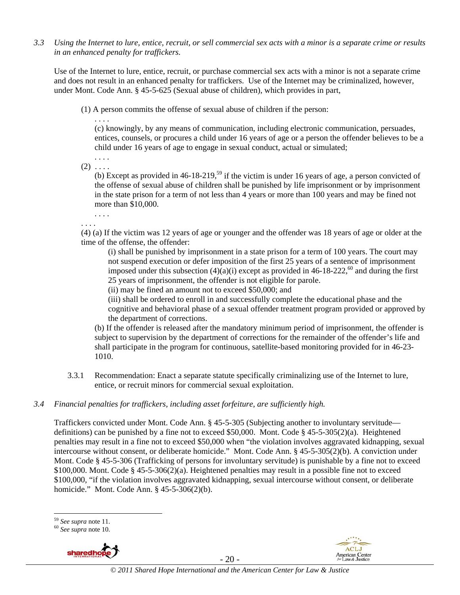*3.3 Using the Internet to lure, entice, recruit, or sell commercial sex acts with a minor is a separate crime or results in an enhanced penalty for traffickers.* 

Use of the Internet to lure, entice, recruit, or purchase commercial sex acts with a minor is not a separate crime and does not result in an enhanced penalty for traffickers. Use of the Internet may be criminalized, however, under Mont. Code Ann. § 45-5-625 (Sexual abuse of children), which provides in part,

(1) A person commits the offense of sexual abuse of children if the person:

. . . . (c) knowingly, by any means of communication, including electronic communication, persuades, entices, counsels, or procures a child under 16 years of age or a person the offender believes to be a child under 16 years of age to engage in sexual conduct, actual or simulated;

 $(2)$  ...

. . . .

(b) Except as provided in  $46-18-219$ ,<sup>59</sup> if the victim is under 16 years of age, a person convicted of the offense of sexual abuse of children shall be punished by life imprisonment or by imprisonment in the state prison for a term of not less than 4 years or more than 100 years and may be fined not more than \$10,000.

. . . . . . . .

(4) (a) If the victim was 12 years of age or younger and the offender was 18 years of age or older at the time of the offense, the offender:

(i) shall be punished by imprisonment in a state prison for a term of 100 years. The court may not suspend execution or defer imposition of the first 25 years of a sentence of imprisonment imposed under this subsection  $(4)(a)(i)$  except as provided in 46-18-222,<sup>60</sup> and during the first 25 years of imprisonment, the offender is not eligible for parole.

(ii) may be fined an amount not to exceed \$50,000; and

(iii) shall be ordered to enroll in and successfully complete the educational phase and the cognitive and behavioral phase of a sexual offender treatment program provided or approved by the department of corrections.

(b) If the offender is released after the mandatory minimum period of imprisonment, the offender is subject to supervision by the department of corrections for the remainder of the offender's life and shall participate in the program for continuous, satellite-based monitoring provided for in 46-23- 1010.

- 3.3.1 Recommendation: Enact a separate statute specifically criminalizing use of the Internet to lure, entice, or recruit minors for commercial sexual exploitation.
- *3.4 Financial penalties for traffickers, including asset forfeiture, are sufficiently high.*

Traffickers convicted under Mont. Code Ann. § 45-5-305 (Subjecting another to involuntary servitude definitions) can be punished by a fine not to exceed \$50,000. Mont. Code § 45-5-305(2)(a). Heightened penalties may result in a fine not to exceed \$50,000 when "the violation involves aggravated kidnapping, sexual intercourse without consent, or deliberate homicide." Mont. Code Ann. § 45-5-305(2)(b). A conviction under Mont. Code § 45-5-306 (Trafficking of persons for involuntary servitude) is punishable by a fine not to exceed \$100,000. Mont. Code § 45-5-306(2)(a). Heightened penalties may result in a possible fine not to exceed \$100,000, "if the violation involves aggravated kidnapping, sexual intercourse without consent, or deliberate homicide." Mont. Code Ann. § 45-5-306(2)(b).





 $\overline{a}$ <sup>59</sup> *See supra* note 11. 60 *See supra* note 10.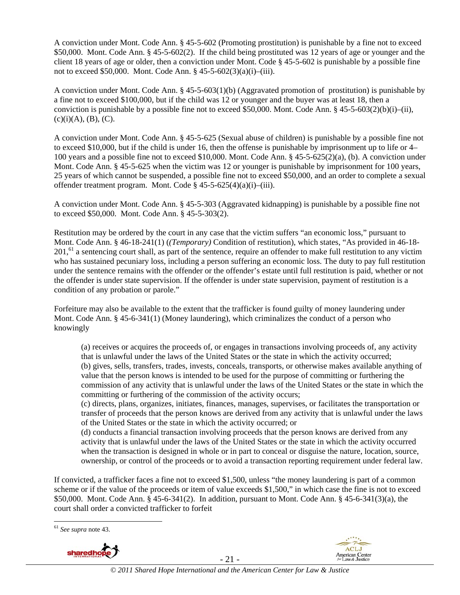A conviction under Mont. Code Ann. § 45-5-602 (Promoting prostitution) is punishable by a fine not to exceed \$50,000. Mont. Code Ann. § 45-5-602(2). If the child being prostituted was 12 years of age or younger and the client 18 years of age or older, then a conviction under Mont. Code § 45-5-602 is punishable by a possible fine not to exceed \$50,000. Mont. Code Ann. § 45-5-602(3)(a)(i)–(iii).

A conviction under Mont. Code Ann. § 45-5-603(1)(b) (Aggravated promotion of prostitution) is punishable by a fine not to exceed \$100,000, but if the child was 12 or younger and the buyer was at least 18, then a conviction is punishable by a possible fine not to exceed \$50,000. Mont. Code Ann. §  $45-5-603(2)(b)(i)–(ii)$ ,  $(c)(i)(A), (B), (C).$ 

A conviction under Mont. Code Ann. § 45-5-625 (Sexual abuse of children) is punishable by a possible fine not to exceed \$10,000, but if the child is under 16, then the offense is punishable by imprisonment up to life or 4– 100 years and a possible fine not to exceed \$10,000. Mont. Code Ann. § 45-5-625(2)(a), (b). A conviction under Mont. Code Ann. § 45-5-625 when the victim was 12 or younger is punishable by imprisonment for 100 years, 25 years of which cannot be suspended, a possible fine not to exceed \$50,000, and an order to complete a sexual offender treatment program. Mont. Code § 45-5-625(4)(a)(i)–(iii).

A conviction under Mont. Code Ann. § 45-5-303 (Aggravated kidnapping) is punishable by a possible fine not to exceed \$50,000. Mont. Code Ann. § 45-5-303(2).

Restitution may be ordered by the court in any case that the victim suffers "an economic loss," pursuant to Mont. Code Ann. § 46-18-241(1) (*(Temporary)* Condition of restitution), which states, "As provided in 46-18-  $201<sup>61</sup>$  a sentencing court shall, as part of the sentence, require an offender to make full restitution to any victim who has sustained pecuniary loss, including a person suffering an economic loss. The duty to pay full restitution under the sentence remains with the offender or the offender's estate until full restitution is paid, whether or not the offender is under state supervision. If the offender is under state supervision, payment of restitution is a condition of any probation or parole."

Forfeiture may also be available to the extent that the trafficker is found guilty of money laundering under Mont. Code Ann. § 45-6-341(1) (Money laundering), which criminalizes the conduct of a person who knowingly

(a) receives or acquires the proceeds of, or engages in transactions involving proceeds of, any activity that is unlawful under the laws of the United States or the state in which the activity occurred; (b) gives, sells, transfers, trades, invests, conceals, transports, or otherwise makes available anything of value that the person knows is intended to be used for the purpose of committing or furthering the commission of any activity that is unlawful under the laws of the United States or the state in which the committing or furthering of the commission of the activity occurs;

(c) directs, plans, organizes, initiates, finances, manages, supervises, or facilitates the transportation or transfer of proceeds that the person knows are derived from any activity that is unlawful under the laws of the United States or the state in which the activity occurred; or

(d) conducts a financial transaction involving proceeds that the person knows are derived from any activity that is unlawful under the laws of the United States or the state in which the activity occurred when the transaction is designed in whole or in part to conceal or disguise the nature, location, source, ownership, or control of the proceeds or to avoid a transaction reporting requirement under federal law.

If convicted, a trafficker faces a fine not to exceed \$1,500, unless "the money laundering is part of a common scheme or if the value of the proceeds or item of value exceeds \$1,500," in which case the fine is not to exceed \$50,000. Mont. Code Ann. § 45-6-341(2). In addition, pursuant to Mont. Code Ann. § 45-6-341(3)(a), the court shall order a convicted trafficker to forfeit

 $\overline{a}$ <sup>61</sup> *See supra* note 43.



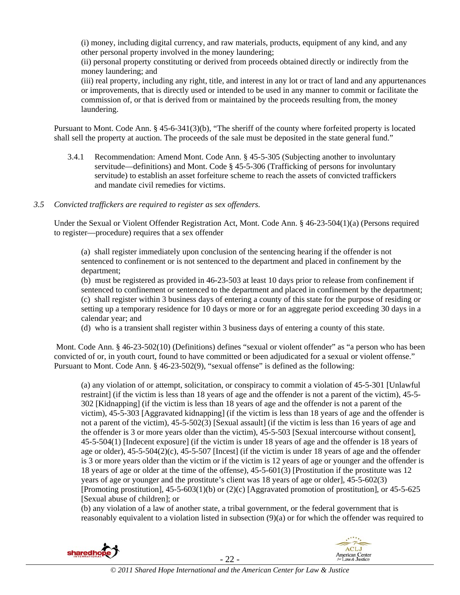(i) money, including digital currency, and raw materials, products, equipment of any kind, and any other personal property involved in the money laundering;

(ii) personal property constituting or derived from proceeds obtained directly or indirectly from the money laundering; and

(iii) real property, including any right, title, and interest in any lot or tract of land and any appurtenances or improvements, that is directly used or intended to be used in any manner to commit or facilitate the commission of, or that is derived from or maintained by the proceeds resulting from, the money laundering.

Pursuant to Mont. Code Ann. § 45-6-341(3)(b), "The sheriff of the county where forfeited property is located shall sell the property at auction. The proceeds of the sale must be deposited in the state general fund."

- 3.4.1 Recommendation: Amend Mont. Code Ann. § 45-5-305 (Subjecting another to involuntary servitude—definitions) and Mont. Code § 45-5-306 (Trafficking of persons for involuntary servitude) to establish an asset forfeiture scheme to reach the assets of convicted traffickers and mandate civil remedies for victims.
- *3.5 Convicted traffickers are required to register as sex offenders.*

Under the Sexual or Violent Offender Registration Act, Mont. Code Ann. § 46-23-504(1)(a) (Persons required to register—procedure) requires that a sex offender

(a) shall register immediately upon conclusion of the sentencing hearing if the offender is not sentenced to confinement or is not sentenced to the department and placed in confinement by the department;

(b) must be registered as provided in 46-23-503 at least 10 days prior to release from confinement if sentenced to confinement or sentenced to the department and placed in confinement by the department; (c) shall register within 3 business days of entering a county of this state for the purpose of residing or setting up a temporary residence for 10 days or more or for an aggregate period exceeding 30 days in a calendar year; and

(d) who is a transient shall register within 3 business days of entering a county of this state.

 Mont. Code Ann. § 46-23-502(10) (Definitions) defines "sexual or violent offender" as "a person who has been convicted of or, in youth court, found to have committed or been adjudicated for a sexual or violent offense." Pursuant to Mont. Code Ann. § 46-23-502(9), "sexual offense" is defined as the following:

(a) any violation of or attempt, solicitation, or conspiracy to commit a violation of 45-5-301 [Unlawful restraint] (if the victim is less than 18 years of age and the offender is not a parent of the victim), 45-5- 302 [Kidnapping] (if the victim is less than 18 years of age and the offender is not a parent of the victim), 45-5-303 [Aggravated kidnapping] (if the victim is less than 18 years of age and the offender is not a parent of the victim), 45-5-502(3) [Sexual assault] (if the victim is less than 16 years of age and the offender is 3 or more years older than the victim), 45-5-503 [Sexual intercourse without consent], 45-5-504(1) [Indecent exposure] (if the victim is under 18 years of age and the offender is 18 years of age or older),  $45-5-504(2)(c)$ ,  $45-5-507$  [Incest] (if the victim is under 18 years of age and the offender is 3 or more years older than the victim or if the victim is 12 years of age or younger and the offender is 18 years of age or older at the time of the offense), 45-5-601(3) [Prostitution if the prostitute was 12 years of age or younger and the prostitute's client was 18 years of age or older], 45-5-602(3) [Promoting prostitution], 45-5-603(1)(b) or (2)(c) [Aggravated promotion of prostitution], or 45-5-625 [Sexual abuse of children]; or

(b) any violation of a law of another state, a tribal government, or the federal government that is reasonably equivalent to a violation listed in subsection (9)(a) or for which the offender was required to



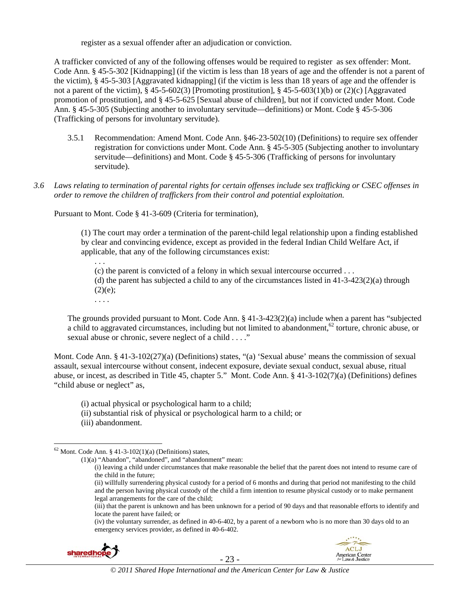register as a sexual offender after an adjudication or conviction.

A trafficker convicted of any of the following offenses would be required to register as sex offender: Mont. Code Ann. § 45-5-302 [Kidnapping] (if the victim is less than 18 years of age and the offender is not a parent of the victim), § 45-5-303 [Aggravated kidnapping] (if the victim is less than 18 years of age and the offender is not a parent of the victim),  $\S 45-5-602(3)$  [Promoting prostitution],  $\S 45-5-603(1)(b)$  or (2)(c) [Aggravated promotion of prostitution], and § 45-5-625 [Sexual abuse of children], but not if convicted under Mont. Code Ann. § 45-5-305 (Subjecting another to involuntary servitude—definitions) or Mont. Code § 45-5-306 (Trafficking of persons for involuntary servitude).

- 3.5.1 Recommendation: Amend Mont. Code Ann. §46-23-502(10) (Definitions) to require sex offender registration for convictions under Mont. Code Ann. § 45-5-305 (Subjecting another to involuntary servitude—definitions) and Mont. Code § 45-5-306 (Trafficking of persons for involuntary servitude).
- *3.6 Laws relating to termination of parental rights for certain offenses include sex trafficking or CSEC offenses in order to remove the children of traffickers from their control and potential exploitation.*

Pursuant to Mont. Code § 41-3-609 (Criteria for termination),

(1) The court may order a termination of the parent-child legal relationship upon a finding established by clear and convincing evidence, except as provided in the federal Indian Child Welfare Act, if applicable, that any of the following circumstances exist:

. . .

(c) the parent is convicted of a felony in which sexual intercourse occurred . . . (d) the parent has subjected a child to any of the circumstances listed in  $41-3-423(2)(a)$  through  $(2)(e);$ 

. . . .

The grounds provided pursuant to Mont. Code Ann. § 41-3-423(2)(a) include when a parent has "subjected a child to aggravated circumstances, including but not limited to abandonment,<sup>62</sup> torture, chronic abuse, or sexual abuse or chronic, severe neglect of a child . . . ."

Mont. Code Ann. § 41-3-102(27)(a) (Definitions) states, "(a) 'Sexual abuse' means the commission of sexual assault, sexual intercourse without consent, indecent exposure, deviate sexual conduct, sexual abuse, ritual abuse, or incest, as described in Title 45, chapter 5." Mont. Code Ann. § 41-3-102(7)(a) (Definitions) defines "child abuse or neglect" as,

- (i) actual physical or psychological harm to a child;
- (ii) substantial risk of physical or psychological harm to a child; or
- (iii) abandonment.

(ii) willfully surrendering physical custody for a period of 6 months and during that period not manifesting to the child and the person having physical custody of the child a firm intention to resume physical custody or to make permanent legal arrangements for the care of the child;

<sup>(</sup>iv) the voluntary surrender, as defined in 40-6-402, by a parent of a newborn who is no more than 30 days old to an emergency services provider, as defined in 40-6-402.





 $62$  Mont. Code Ann. § 41-3-102(1)(a) (Definitions) states,

<sup>(1)(</sup>a) "Abandon", "abandoned", and "abandonment" mean:

<sup>(</sup>i) leaving a child under circumstances that make reasonable the belief that the parent does not intend to resume care of the child in the future;

<sup>(</sup>iii) that the parent is unknown and has been unknown for a period of 90 days and that reasonable efforts to identify and locate the parent have failed; or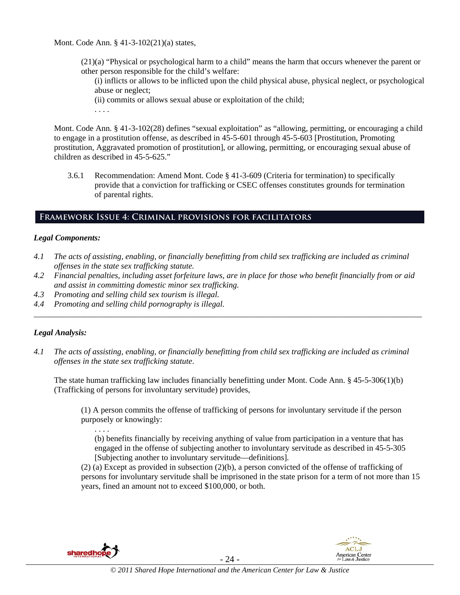Mont. Code Ann. § 41-3-102(21)(a) states,

(21)(a) "Physical or psychological harm to a child" means the harm that occurs whenever the parent or other person responsible for the child's welfare:

(i) inflicts or allows to be inflicted upon the child physical abuse, physical neglect, or psychological abuse or neglect;

(ii) commits or allows sexual abuse or exploitation of the child;

. . . .

Mont. Code Ann. § 41-3-102(28) defines "sexual exploitation" as "allowing, permitting, or encouraging a child to engage in a prostitution offense, as described in 45-5-601 through 45-5-603 [Prostitution, Promoting prostitution, Aggravated promotion of prostitution], or allowing, permitting, or encouraging sexual abuse of children as described in 45-5-625."

3.6.1 Recommendation: Amend Mont. Code § 41-3-609 (Criteria for termination) to specifically provide that a conviction for trafficking or CSEC offenses constitutes grounds for termination of parental rights.

# **Framework Issue 4: Criminal provisions for facilitators**

## *Legal Components:*

- *4.1 The acts of assisting, enabling, or financially benefitting from child sex trafficking are included as criminal offenses in the state sex trafficking statute.*
- *4.2 Financial penalties, including asset forfeiture laws, are in place for those who benefit financially from or aid and assist in committing domestic minor sex trafficking.*

*\_\_\_\_\_\_\_\_\_\_\_\_\_\_\_\_\_\_\_\_\_\_\_\_\_\_\_\_\_\_\_\_\_\_\_\_\_\_\_\_\_\_\_\_\_\_\_\_\_\_\_\_\_\_\_\_\_\_\_\_\_\_\_\_\_\_\_\_\_\_\_\_\_\_\_\_\_\_\_\_\_\_\_\_\_\_\_\_\_\_\_\_\_\_* 

- *4.3 Promoting and selling child sex tourism is illegal.*
- *4.4 Promoting and selling child pornography is illegal.*

## *Legal Analysis:*

*4.1 The acts of assisting, enabling, or financially benefitting from child sex trafficking are included as criminal offenses in the state sex trafficking statute*.

The state human trafficking law includes financially benefitting under Mont. Code Ann. § 45-5-306(1)(b) (Trafficking of persons for involuntary servitude) provides,

(1) A person commits the offense of trafficking of persons for involuntary servitude if the person purposely or knowingly:

(b) benefits financially by receiving anything of value from participation in a venture that has engaged in the offense of subjecting another to involuntary servitude as described in 45-5-305 [Subjecting another to involuntary servitude—definitions].

(2) (a) Except as provided in subsection (2)(b), a person convicted of the offense of trafficking of persons for involuntary servitude shall be imprisoned in the state prison for a term of not more than 15 years, fined an amount not to exceed \$100,000, or both.



. . . .

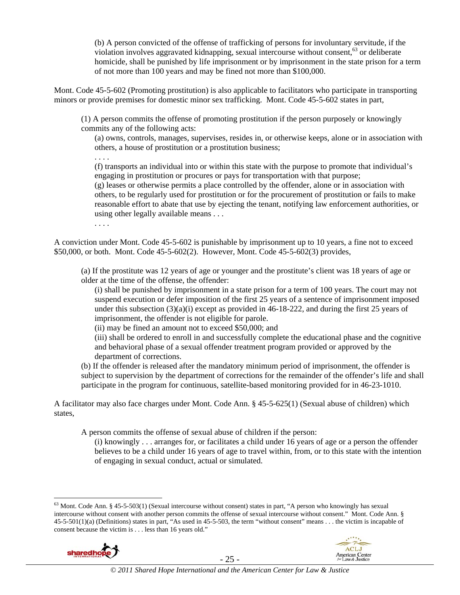(b) A person convicted of the offense of trafficking of persons for involuntary servitude, if the violation involves aggravated kidnapping, sexual intercourse without consent,  $63$  or deliberate homicide, shall be punished by life imprisonment or by imprisonment in the state prison for a term of not more than 100 years and may be fined not more than \$100,000.

Mont. Code 45-5-602 (Promoting prostitution) is also applicable to facilitators who participate in transporting minors or provide premises for domestic minor sex trafficking. Mont. Code 45-5-602 states in part,

(1) A person commits the offense of promoting prostitution if the person purposely or knowingly commits any of the following acts:

(a) owns, controls, manages, supervises, resides in, or otherwise keeps, alone or in association with others, a house of prostitution or a prostitution business;

. . . .

(f) transports an individual into or within this state with the purpose to promote that individual's engaging in prostitution or procures or pays for transportation with that purpose;

(g) leases or otherwise permits a place controlled by the offender, alone or in association with others, to be regularly used for prostitution or for the procurement of prostitution or fails to make reasonable effort to abate that use by ejecting the tenant, notifying law enforcement authorities, or using other legally available means . . .

. . . .

A conviction under Mont. Code 45-5-602 is punishable by imprisonment up to 10 years, a fine not to exceed \$50,000, or both. Mont. Code 45-5-602(2). However, Mont. Code 45-5-602(3) provides,

(a) If the prostitute was 12 years of age or younger and the prostitute's client was 18 years of age or older at the time of the offense, the offender:

(i) shall be punished by imprisonment in a state prison for a term of 100 years. The court may not suspend execution or defer imposition of the first 25 years of a sentence of imprisonment imposed under this subsection  $(3)(a)(i)$  except as provided in 46-18-222, and during the first 25 years of imprisonment, the offender is not eligible for parole.

(ii) may be fined an amount not to exceed \$50,000; and

(iii) shall be ordered to enroll in and successfully complete the educational phase and the cognitive and behavioral phase of a sexual offender treatment program provided or approved by the department of corrections.

(b) If the offender is released after the mandatory minimum period of imprisonment, the offender is subject to supervision by the department of corrections for the remainder of the offender's life and shall participate in the program for continuous, satellite-based monitoring provided for in 46-23-1010.

A facilitator may also face charges under Mont. Code Ann. § 45-5-625(1) (Sexual abuse of children) which states,

A person commits the offense of sexual abuse of children if the person:

(i) knowingly . . . arranges for, or facilitates a child under 16 years of age or a person the offender believes to be a child under 16 years of age to travel within, from, or to this state with the intention of engaging in sexual conduct, actual or simulated.

 $63$  Mont. Code Ann. § 45-5-503(1) (Sexual intercourse without consent) states in part, "A person who knowingly has sexual intercourse without consent with another person commits the offense of sexual intercourse without consent." Mont. Code Ann. § 45-5-501(1)(a) (Definitions) states in part, "As used in 45-5-503, the term "without consent" means . . . the victim is incapable of consent because the victim is . . . less than 16 years old."



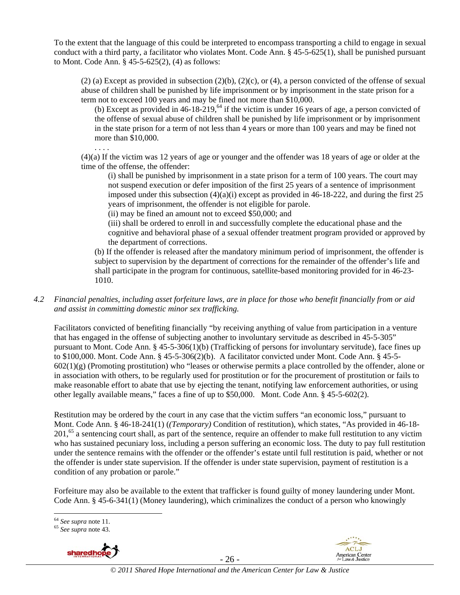To the extent that the language of this could be interpreted to encompass transporting a child to engage in sexual conduct with a third party, a facilitator who violates Mont. Code Ann. § 45-5-625(1), shall be punished pursuant to Mont. Code Ann. § 45-5-625(2), (4) as follows:

 $(2)$  (a) Except as provided in subsection  $(2)(b)$ ,  $(2)(c)$ , or  $(4)$ , a person convicted of the offense of sexual abuse of children shall be punished by life imprisonment or by imprisonment in the state prison for a term not to exceed 100 years and may be fined not more than \$10,000.

(b) Except as provided in  $46-18-219$ , <sup>64</sup> if the victim is under 16 years of age, a person convicted of the offense of sexual abuse of children shall be punished by life imprisonment or by imprisonment in the state prison for a term of not less than 4 years or more than 100 years and may be fined not more than \$10,000.

. . . . (4)(a) If the victim was 12 years of age or younger and the offender was 18 years of age or older at the time of the offense, the offender:

(i) shall be punished by imprisonment in a state prison for a term of 100 years. The court may not suspend execution or defer imposition of the first 25 years of a sentence of imprisonment imposed under this subsection  $(4)(a)(i)$  except as provided in 46-18-222, and during the first 25 years of imprisonment, the offender is not eligible for parole.

(ii) may be fined an amount not to exceed \$50,000; and

(iii) shall be ordered to enroll in and successfully complete the educational phase and the cognitive and behavioral phase of a sexual offender treatment program provided or approved by the department of corrections.

(b) If the offender is released after the mandatory minimum period of imprisonment, the offender is subject to supervision by the department of corrections for the remainder of the offender's life and shall participate in the program for continuous, satellite-based monitoring provided for in 46-23- 1010.

*4.2 Financial penalties, including asset forfeiture laws, are in place for those who benefit financially from or aid and assist in committing domestic minor sex trafficking.* 

Facilitators convicted of benefiting financially "by receiving anything of value from participation in a venture that has engaged in the offense of subjecting another to involuntary servitude as described in 45-5-305" pursuant to Mont. Code Ann. § 45-5-306(1)(b) (Trafficking of persons for involuntary servitude), face fines up to \$100,000. Mont. Code Ann. § 45-5-306(2)(b). A facilitator convicted under Mont. Code Ann. § 45-5-  $602(1)(g)$  (Promoting prostitution) who "leases or otherwise permits a place controlled by the offender, alone or in association with others, to be regularly used for prostitution or for the procurement of prostitution or fails to make reasonable effort to abate that use by ejecting the tenant, notifying law enforcement authorities, or using other legally available means," faces a fine of up to \$50,000. Mont. Code Ann. § 45-5-602(2).

Restitution may be ordered by the court in any case that the victim suffers "an economic loss," pursuant to Mont. Code Ann. § 46-18-241(1) (*(Temporary)* Condition of restitution), which states, "As provided in 46-18- 201,<sup>65</sup> a sentencing court shall, as part of the sentence, require an offender to make full restitution to any victim who has sustained pecuniary loss, including a person suffering an economic loss. The duty to pay full restitution under the sentence remains with the offender or the offender's estate until full restitution is paid, whether or not the offender is under state supervision. If the offender is under state supervision, payment of restitution is a condition of any probation or parole."

Forfeiture may also be available to the extent that trafficker is found guilty of money laundering under Mont. Code Ann. § 45-6-341(1) (Money laundering), which criminalizes the conduct of a person who knowingly





 $\overline{a}$ <sup>64</sup> *See supra* note 11. 65 *See supra* note 43.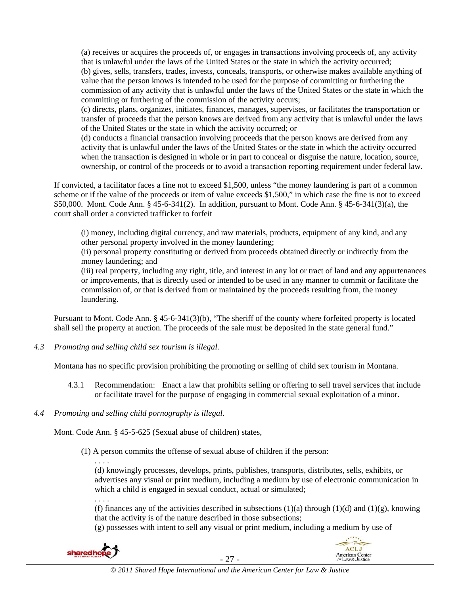(a) receives or acquires the proceeds of, or engages in transactions involving proceeds of, any activity that is unlawful under the laws of the United States or the state in which the activity occurred; (b) gives, sells, transfers, trades, invests, conceals, transports, or otherwise makes available anything of value that the person knows is intended to be used for the purpose of committing or furthering the commission of any activity that is unlawful under the laws of the United States or the state in which the committing or furthering of the commission of the activity occurs;

(c) directs, plans, organizes, initiates, finances, manages, supervises, or facilitates the transportation or transfer of proceeds that the person knows are derived from any activity that is unlawful under the laws of the United States or the state in which the activity occurred; or

(d) conducts a financial transaction involving proceeds that the person knows are derived from any activity that is unlawful under the laws of the United States or the state in which the activity occurred when the transaction is designed in whole or in part to conceal or disguise the nature, location, source, ownership, or control of the proceeds or to avoid a transaction reporting requirement under federal law.

If convicted, a facilitator faces a fine not to exceed \$1,500, unless "the money laundering is part of a common scheme or if the value of the proceeds or item of value exceeds \$1,500," in which case the fine is not to exceed \$50,000. Mont. Code Ann. § 45-6-341(2). In addition, pursuant to Mont. Code Ann. § 45-6-341(3)(a), the court shall order a convicted trafficker to forfeit

(i) money, including digital currency, and raw materials, products, equipment of any kind, and any other personal property involved in the money laundering;

(ii) personal property constituting or derived from proceeds obtained directly or indirectly from the money laundering; and

(iii) real property, including any right, title, and interest in any lot or tract of land and any appurtenances or improvements, that is directly used or intended to be used in any manner to commit or facilitate the commission of, or that is derived from or maintained by the proceeds resulting from, the money laundering.

Pursuant to Mont. Code Ann. § 45-6-341(3)(b), "The sheriff of the county where forfeited property is located shall sell the property at auction. The proceeds of the sale must be deposited in the state general fund."

*4.3 Promoting and selling child sex tourism is illegal*.

Montana has no specific provision prohibiting the promoting or selling of child sex tourism in Montana.

- 4.3.1 Recommendation: Enact a law that prohibits selling or offering to sell travel services that include or facilitate travel for the purpose of engaging in commercial sexual exploitation of a minor.
- *4.4 Promoting and selling child pornography is illegal*.

Mont. Code Ann. § 45-5-625 (Sexual abuse of children) states,

(1) A person commits the offense of sexual abuse of children if the person:

. . . . (d) knowingly processes, develops, prints, publishes, transports, distributes, sells, exhibits, or advertises any visual or print medium, including a medium by use of electronic communication in which a child is engaged in sexual conduct, actual or simulated;

. . . . (f) finances any of the activities described in subsections  $(1)(a)$  through  $(1)(d)$  and  $(1)(g)$ , knowing that the activity is of the nature described in those subsections;

(g) possesses with intent to sell any visual or print medium, including a medium by use of



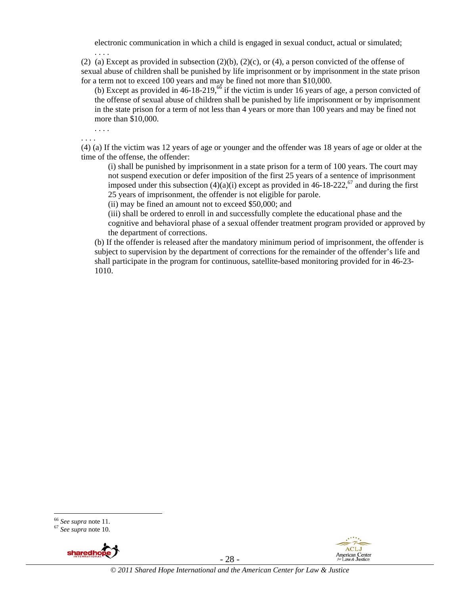electronic communication in which a child is engaged in sexual conduct, actual or simulated;

(2) (a) Except as provided in subsection  $(2)(b)$ ,  $(2)(c)$ , or  $(4)$ , a person convicted of the offense of sexual abuse of children shall be punished by life imprisonment or by imprisonment in the state prison for a term not to exceed 100 years and may be fined not more than \$10,000.

(b) Except as provided in  $46-18-219$ ,  $66$  if the victim is under 16 years of age, a person convicted of the offense of sexual abuse of children shall be punished by life imprisonment or by imprisonment in the state prison for a term of not less than 4 years or more than 100 years and may be fined not more than \$10,000.

. . . . . . . .

. . . .

(4) (a) If the victim was 12 years of age or younger and the offender was 18 years of age or older at the time of the offense, the offender:

(i) shall be punished by imprisonment in a state prison for a term of 100 years. The court may not suspend execution or defer imposition of the first 25 years of a sentence of imprisonment imposed under this subsection  $(4)(a)(i)$  except as provided in 46-18-222,<sup>67</sup> and during the first 25 years of imprisonment, the offender is not eligible for parole.

(ii) may be fined an amount not to exceed \$50,000; and

(iii) shall be ordered to enroll in and successfully complete the educational phase and the cognitive and behavioral phase of a sexual offender treatment program provided or approved by the department of corrections.

(b) If the offender is released after the mandatory minimum period of imprisonment, the offender is subject to supervision by the department of corrections for the remainder of the offender's life and shall participate in the program for continuous, satellite-based monitoring provided for in 46-23- 1010.







<sup>66</sup> *See supra* note 11. 67 *See supra* note 10.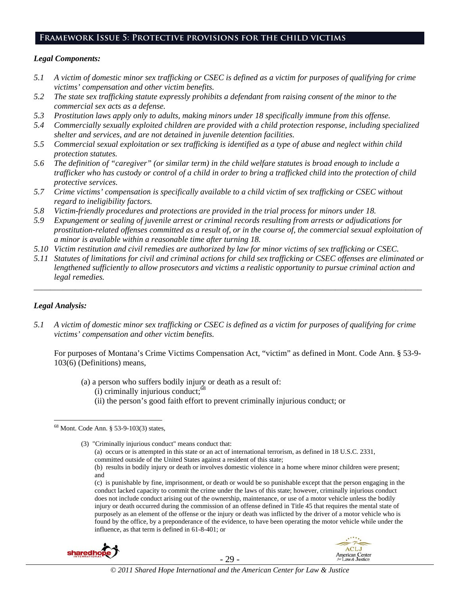## **Framework Issue 5: Protective provisions for the child victims**

#### *Legal Components:*

- *5.1 A victim of domestic minor sex trafficking or CSEC is defined as a victim for purposes of qualifying for crime victims' compensation and other victim benefits.*
- *5.2 The state sex trafficking statute expressly prohibits a defendant from raising consent of the minor to the commercial sex acts as a defense.*
- *5.3 Prostitution laws apply only to adults, making minors under 18 specifically immune from this offense.*
- *5.4 Commercially sexually exploited children are provided with a child protection response, including specialized shelter and services, and are not detained in juvenile detention facilities.*
- *5.5 Commercial sexual exploitation or sex trafficking is identified as a type of abuse and neglect within child protection statutes.*
- *5.6 The definition of "caregiver" (or similar term) in the child welfare statutes is broad enough to include a trafficker who has custody or control of a child in order to bring a trafficked child into the protection of child protective services.*
- *5.7 Crime victims' compensation is specifically available to a child victim of sex trafficking or CSEC without regard to ineligibility factors.*
- *5.8 Victim-friendly procedures and protections are provided in the trial process for minors under 18.*
- *5.9 Expungement or sealing of juvenile arrest or criminal records resulting from arrests or adjudications for prostitution-related offenses committed as a result of, or in the course of, the commercial sexual exploitation of a minor is available within a reasonable time after turning 18.*
- *5.10 Victim restitution and civil remedies are authorized by law for minor victims of sex trafficking or CSEC.*
- *5.11 Statutes of limitations for civil and criminal actions for child sex trafficking or CSEC offenses are eliminated or lengthened sufficiently to allow prosecutors and victims a realistic opportunity to pursue criminal action and legal remedies.*

*\_\_\_\_\_\_\_\_\_\_\_\_\_\_\_\_\_\_\_\_\_\_\_\_\_\_\_\_\_\_\_\_\_\_\_\_\_\_\_\_\_\_\_\_\_\_\_\_\_\_\_\_\_\_\_\_\_\_\_\_\_\_\_\_\_\_\_\_\_\_\_\_\_\_\_\_\_\_\_\_\_\_\_\_\_\_\_\_\_\_\_\_\_\_* 

## *Legal Analysis:*

*5.1 A victim of domestic minor sex trafficking or CSEC is defined as a victim for purposes of qualifying for crime victims' compensation and other victim benefits.* 

For purposes of Montana's Crime Victims Compensation Act, "victim" as defined in Mont. Code Ann. § 53-9- 103(6) (Definitions) means,

- (a) a person who suffers bodily injury or death as a result of:
	- $(i)$  criminally injurious conduct: $68$
	- (ii) the person's good faith effort to prevent criminally injurious conduct; or

injury or death occurred during the commission of an offense defined in Title 45 that requires the mental state of purposely as an element of the offense or the injury or death was inflicted by the driver of a motor vehicle who is found by the office, by a preponderance of the evidence, to have been operating the motor vehicle while under the influence, as that term is defined in 61-8-401; or





 $\overline{a}$ 68 Mont. Code Ann. § 53-9-103(3) states,

<sup>(3) &</sup>quot;Criminally injurious conduct" means conduct that: (a) occurs or is attempted in this state or an act of international terrorism, as defined in 18 U.S.C. 2331, committed outside of the United States against a resident of this state; (b) results in bodily injury or death or involves domestic violence in a home where minor children were present; and (c) is punishable by fine, imprisonment, or death or would be so punishable except that the person engaging in the conduct lacked capacity to commit the crime under the laws of this state; however, criminally injurious conduct does not include conduct arising out of the ownership, maintenance, or use of a motor vehicle unless the bodily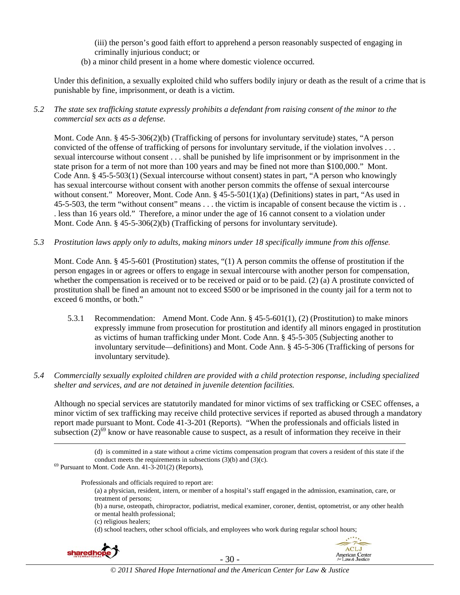(iii) the person's good faith effort to apprehend a person reasonably suspected of engaging in criminally injurious conduct; or

(b) a minor child present in a home where domestic violence occurred.

Under this definition, a sexually exploited child who suffers bodily injury or death as the result of a crime that is punishable by fine, imprisonment, or death is a victim.

*5.2 The state sex trafficking statute expressly prohibits a defendant from raising consent of the minor to the commercial sex acts as a defense.*

Mont. Code Ann. § 45-5-306(2)(b) (Trafficking of persons for involuntary servitude) states, "A person convicted of the offense of trafficking of persons for involuntary servitude, if the violation involves . . . sexual intercourse without consent . . . shall be punished by life imprisonment or by imprisonment in the state prison for a term of not more than 100 years and may be fined not more than \$100,000." Mont. Code Ann. § 45-5-503(1) (Sexual intercourse without consent) states in part, "A person who knowingly has sexual intercourse without consent with another person commits the offense of sexual intercourse without consent." Moreover, Mont. Code Ann. § 45-5-501(1)(a) (Definitions) states in part, "As used in 45-5-503, the term "without consent" means . . . the victim is incapable of consent because the victim is . . . less than 16 years old." Therefore, a minor under the age of 16 cannot consent to a violation under Mont. Code Ann. § 45-5-306(2)(b) (Trafficking of persons for involuntary servitude).

*5.3 Prostitution laws apply only to adults, making minors under 18 specifically immune from this offense.* 

Mont. Code Ann. § 45-5-601 (Prostitution) states, "(1) A person commits the offense of prostitution if the person engages in or agrees or offers to engage in sexual intercourse with another person for compensation, whether the compensation is received or to be received or paid or to be paid. (2) (a) A prostitute convicted of prostitution shall be fined an amount not to exceed \$500 or be imprisoned in the county jail for a term not to exceed 6 months, or both."

5.3.1 Recommendation: Amend Mont. Code Ann. § 45-5-601(1), (2) (Prostitution) to make minors expressly immune from prosecution for prostitution and identify all minors engaged in prostitution as victims of human trafficking under Mont. Code Ann. § 45-5-305 (Subjecting another to involuntary servitude—definitions) and Mont. Code Ann. § 45-5-306 (Trafficking of persons for involuntary servitude).

## *5.4 Commercially sexually exploited children are provided with a child protection response, including specialized shelter and services, and are not detained in juvenile detention facilities.*

Although no special services are statutorily mandated for minor victims of sex trafficking or CSEC offenses, a minor victim of sex trafficking may receive child protective services if reported as abused through a mandatory report made pursuant to Mont. Code 41-3-201 (Reports). "When the professionals and officials listed in subsection  $(2)^{69}$  know or have reasonable cause to suspect, as a result of information they receive in their

Professionals and officials required to report are:

(a) a physician, resident, intern, or member of a hospital's staff engaged in the admission, examination, care, or treatment of persons;

(b) a nurse, osteopath, chiropractor, podiatrist, medical examiner, coroner, dentist, optometrist, or any other health or mental health professional;

(c) religious healers;

(d) school teachers, other school officials, and employees who work during regular school hours;





*© 2011 Shared Hope International and the American Center for Law & Justice*

 <sup>(</sup>d) is committed in a state without a crime victims compensation program that covers a resident of this state if the conduct meets the requirements in subsections (3)(b) and (3)(c). <sup>69</sup> Pursuant to Mont. Code Ann. 41-3-201(2) (Reports),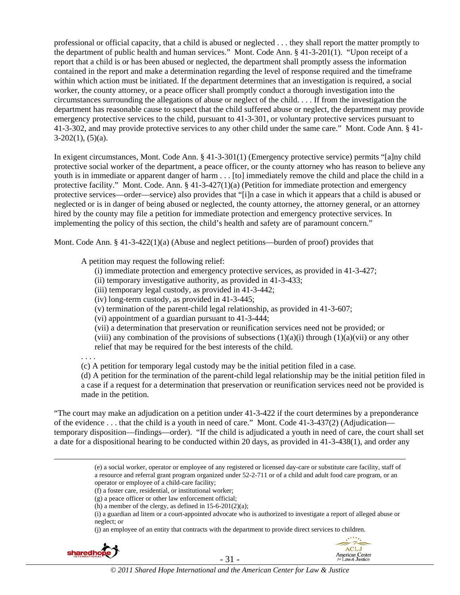professional or official capacity, that a child is abused or neglected . . . they shall report the matter promptly to the department of public health and human services." Mont. Code Ann. § 41-3-201(1). "Upon receipt of a report that a child is or has been abused or neglected, the department shall promptly assess the information contained in the report and make a determination regarding the level of response required and the timeframe within which action must be initiated. If the department determines that an investigation is required, a social worker, the county attorney, or a peace officer shall promptly conduct a thorough investigation into the circumstances surrounding the allegations of abuse or neglect of the child. . . . If from the investigation the department has reasonable cause to suspect that the child suffered abuse or neglect, the department may provide emergency protective services to the child, pursuant to 41-3-301, or voluntary protective services pursuant to 41-3-302, and may provide protective services to any other child under the same care." Mont. Code Ann. § 41-  $3-202(1)$ ,  $(5)(a)$ .

In exigent circumstances, Mont. Code Ann. § 41-3-301(1) (Emergency protective service) permits "[a]ny child protective social worker of the department, a peace officer, or the county attorney who has reason to believe any youth is in immediate or apparent danger of harm . . . [to] immediately remove the child and place the child in a protective facility." Mont. Code. Ann. § 41-3-427(1)(a) (Petition for immediate protection and emergency protective services—order—service) also provides that "[i]n a case in which it appears that a child is abused or neglected or is in danger of being abused or neglected, the county attorney, the attorney general, or an attorney hired by the county may file a petition for immediate protection and emergency protective services. In implementing the policy of this section, the child's health and safety are of paramount concern."

Mont. Code Ann. § 41-3-422(1)(a) (Abuse and neglect petitions—burden of proof) provides that

A petition may request the following relief:

- (i) immediate protection and emergency protective services, as provided in 41-3-427;
- (ii) temporary investigative authority, as provided in 41-3-433;
- (iii) temporary legal custody, as provided in 41-3-442;
- (iv) long-term custody, as provided in 41-3-445;
- (v) termination of the parent-child legal relationship, as provided in 41-3-607;
- (vi) appointment of a guardian pursuant to 41-3-444;
- (vii) a determination that preservation or reunification services need not be provided; or

(viii) any combination of the provisions of subsections  $(1)(a)(i)$  through  $(1)(a)(vi)$  or any other relief that may be required for the best interests of the child.

. . . .

(c) A petition for temporary legal custody may be the initial petition filed in a case.

(d) A petition for the termination of the parent-child legal relationship may be the initial petition filed in a case if a request for a determination that preservation or reunification services need not be provided is made in the petition.

"The court may make an adjudication on a petition under 41-3-422 if the court determines by a preponderance of the evidence . . . that the child is a youth in need of care." Mont. Code 41-3-437(2) (Adjudication temporary disposition—findings—order). "If the child is adjudicated a youth in need of care, the court shall set a date for a dispositional hearing to be conducted within 20 days, as provided in 41-3-438(1), and order any

<sup>(</sup>j) an employee of an entity that contracts with the department to provide direct services to children.





 <sup>(</sup>e) a social worker, operator or employee of any registered or licensed day-care or substitute care facility, staff of a resource and referral grant program organized under 52-2-711 or of a child and adult food care program, or an operator or employee of a child-care facility;

<sup>(</sup>f) a foster care, residential, or institutional worker;

<sup>(</sup>g) a peace officer or other law enforcement official;

<sup>(</sup>h) a member of the clergy, as defined in  $15-6-201(2)(a)$ ;

<sup>(</sup>i) a guardian ad litem or a court-appointed advocate who is authorized to investigate a report of alleged abuse or neglect; or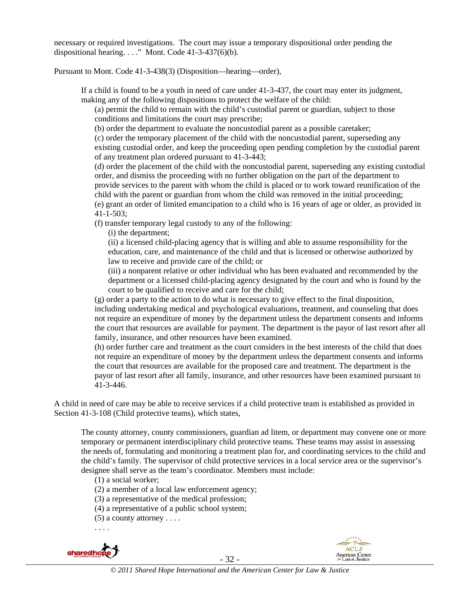necessary or required investigations. The court may issue a temporary dispositional order pending the dispositional hearing. . . ." Mont. Code  $41-3-437(6)(b)$ .

Pursuant to Mont. Code 41-3-438(3) (Disposition—hearing—order),

If a child is found to be a youth in need of care under 41-3-437, the court may enter its judgment, making any of the following dispositions to protect the welfare of the child:

(a) permit the child to remain with the child's custodial parent or guardian, subject to those conditions and limitations the court may prescribe;

(b) order the department to evaluate the noncustodial parent as a possible caretaker;

(c) order the temporary placement of the child with the noncustodial parent, superseding any existing custodial order, and keep the proceeding open pending completion by the custodial parent of any treatment plan ordered pursuant to 41-3-443;

(d) order the placement of the child with the noncustodial parent, superseding any existing custodial order, and dismiss the proceeding with no further obligation on the part of the department to provide services to the parent with whom the child is placed or to work toward reunification of the child with the parent or guardian from whom the child was removed in the initial proceeding; (e) grant an order of limited emancipation to a child who is 16 years of age or older, as provided in 41-1-503;

(f) transfer temporary legal custody to any of the following:

(i) the department;

(ii) a licensed child-placing agency that is willing and able to assume responsibility for the education, care, and maintenance of the child and that is licensed or otherwise authorized by law to receive and provide care of the child; or

(iii) a nonparent relative or other individual who has been evaluated and recommended by the department or a licensed child-placing agency designated by the court and who is found by the court to be qualified to receive and care for the child;

(g) order a party to the action to do what is necessary to give effect to the final disposition, including undertaking medical and psychological evaluations, treatment, and counseling that does not require an expenditure of money by the department unless the department consents and informs the court that resources are available for payment. The department is the payor of last resort after all family, insurance, and other resources have been examined.

(h) order further care and treatment as the court considers in the best interests of the child that does not require an expenditure of money by the department unless the department consents and informs the court that resources are available for the proposed care and treatment. The department is the payor of last resort after all family, insurance, and other resources have been examined pursuant to 41-3-446.

A child in need of care may be able to receive services if a child protective team is established as provided in Section 41-3-108 (Child protective teams), which states,

The county attorney, county commissioners, guardian ad litem, or department may convene one or more temporary or permanent interdisciplinary child protective teams. These teams may assist in assessing the needs of, formulating and monitoring a treatment plan for, and coordinating services to the child and the child's family. The supervisor of child protective services in a local service area or the supervisor's designee shall serve as the team's coordinator. Members must include:

(1) a social worker;

(2) a member of a local law enforcement agency;

(3) a representative of the medical profession;

(4) a representative of a public school system;

 $(5)$  a county attorney . . . .

. . . .







*© 2011 Shared Hope International and the American Center for Law & Justice*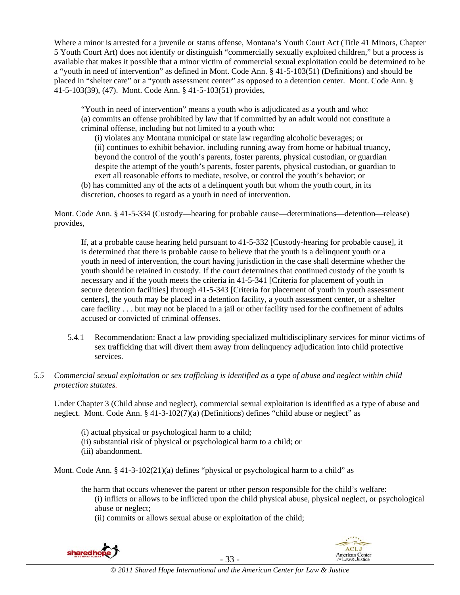Where a minor is arrested for a juvenile or status offense, Montana's Youth Court Act (Title 41 Minors, Chapter 5 Youth Court Art) does not identify or distinguish "commercially sexually exploited children," but a process is available that makes it possible that a minor victim of commercial sexual exploitation could be determined to be a "youth in need of intervention" as defined in Mont. Code Ann. § 41-5-103(51) (Definitions) and should be placed in "shelter care" or a "youth assessment center" as opposed to a detention center. Mont. Code Ann. § 41-5-103(39), (47). Mont. Code Ann. § 41-5-103(51) provides,

"Youth in need of intervention" means a youth who is adjudicated as a youth and who: (a) commits an offense prohibited by law that if committed by an adult would not constitute a criminal offense, including but not limited to a youth who:

(i) violates any Montana municipal or state law regarding alcoholic beverages; or (ii) continues to exhibit behavior, including running away from home or habitual truancy, beyond the control of the youth's parents, foster parents, physical custodian, or guardian despite the attempt of the youth's parents, foster parents, physical custodian, or guardian to exert all reasonable efforts to mediate, resolve, or control the youth's behavior; or

(b) has committed any of the acts of a delinquent youth but whom the youth court, in its discretion, chooses to regard as a youth in need of intervention.

Mont. Code Ann. § 41-5-334 (Custody—hearing for probable cause—determinations—detention—release) provides,

If, at a probable cause hearing held pursuant to 41-5-332 [Custody-hearing for probable cause], it is determined that there is probable cause to believe that the youth is a delinquent youth or a youth in need of intervention, the court having jurisdiction in the case shall determine whether the youth should be retained in custody. If the court determines that continued custody of the youth is necessary and if the youth meets the criteria in 41-5-341 [Criteria for placement of youth in secure detention facilities] through 41-5-343 [Criteria for placement of youth in youth assessment centers], the youth may be placed in a detention facility, a youth assessment center, or a shelter care facility . . . but may not be placed in a jail or other facility used for the confinement of adults accused or convicted of criminal offenses.

- 5.4.1 Recommendation: Enact a law providing specialized multidisciplinary services for minor victims of sex trafficking that will divert them away from delinquency adjudication into child protective services.
- *5.5 Commercial sexual exploitation or sex trafficking is identified as a type of abuse and neglect within child protection statutes.*

Under Chapter 3 (Child abuse and neglect), commercial sexual exploitation is identified as a type of abuse and neglect. Mont. Code Ann. § 41-3-102(7)(a) (Definitions) defines "child abuse or neglect" as

- (i) actual physical or psychological harm to a child;
- (ii) substantial risk of physical or psychological harm to a child; or
- (iii) abandonment.

Mont. Code Ann. § 41-3-102(21)(a) defines "physical or psychological harm to a child" as

the harm that occurs whenever the parent or other person responsible for the child's welfare:

(i) inflicts or allows to be inflicted upon the child physical abuse, physical neglect, or psychological abuse or neglect;

(ii) commits or allows sexual abuse or exploitation of the child;



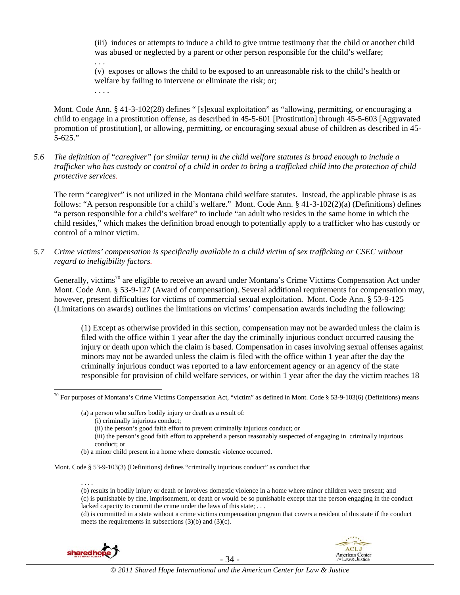(iii) induces or attempts to induce a child to give untrue testimony that the child or another child was abused or neglected by a parent or other person responsible for the child's welfare; . . .

(v) exposes or allows the child to be exposed to an unreasonable risk to the child's health or welfare by failing to intervene or eliminate the risk; or;

Mont. Code Ann. § 41-3-102(28) defines " [s]exual exploitation" as "allowing, permitting, or encouraging a child to engage in a prostitution offense, as described in 45-5-601 [Prostitution] through 45-5-603 [Aggravated promotion of prostitution], or allowing, permitting, or encouraging sexual abuse of children as described in 45- 5-625."

*5.6 The definition of "caregiver" (or similar term) in the child welfare statutes is broad enough to include a trafficker who has custody or control of a child in order to bring a trafficked child into the protection of child protective services.* 

The term "caregiver" is not utilized in the Montana child welfare statutes. Instead, the applicable phrase is as follows: "A person responsible for a child's welfare." Mont. Code Ann. § 41-3-102(2)(a) (Definitions) defines "a person responsible for a child's welfare" to include "an adult who resides in the same home in which the child resides," which makes the definition broad enough to potentially apply to a trafficker who has custody or control of a minor victim.

*5.7 Crime victims' compensation is specifically available to a child victim of sex trafficking or CSEC without regard to ineligibility factors.* 

Generally, victims<sup>70</sup> are eligible to receive an award under Montana's Crime Victims Compensation Act under Mont. Code Ann. § 53-9-127 (Award of compensation). Several additional requirements for compensation may, however, present difficulties for victims of commercial sexual exploitation. Mont. Code Ann. § 53-9-125 (Limitations on awards) outlines the limitations on victims' compensation awards including the following:

(1) Except as otherwise provided in this section, compensation may not be awarded unless the claim is filed with the office within 1 year after the day the criminally injurious conduct occurred causing the injury or death upon which the claim is based. Compensation in cases involving sexual offenses against minors may not be awarded unless the claim is filed with the office within 1 year after the day the criminally injurious conduct was reported to a law enforcement agency or an agency of the state responsible for provision of child welfare services, or within 1 year after the day the victim reaches 18

. . . .

 $\overline{a}$ 

. . . .

(d) is committed in a state without a crime victims compensation program that covers a resident of this state if the conduct meets the requirements in subsections (3)(b) and (3)(c).





 $70$  For purposes of Montana's Crime Victims Compensation Act, "victim" as defined in Mont. Code § 53-9-103(6) (Definitions) means

<sup>(</sup>a) a person who suffers bodily injury or death as a result of:

<sup>(</sup>i) criminally injurious conduct;

<sup>(</sup>ii) the person's good faith effort to prevent criminally injurious conduct; or

<sup>(</sup>iii) the person's good faith effort to apprehend a person reasonably suspected of engaging in criminally injurious conduct; or

<sup>(</sup>b) a minor child present in a home where domestic violence occurred.

Mont. Code § 53-9-103(3) (Definitions) defines "criminally injurious conduct" as conduct that

<sup>(</sup>b) results in bodily injury or death or involves domestic violence in a home where minor children were present; and (c) is punishable by fine, imprisonment, or death or would be so punishable except that the person engaging in the conduct lacked capacity to commit the crime under the laws of this state; ...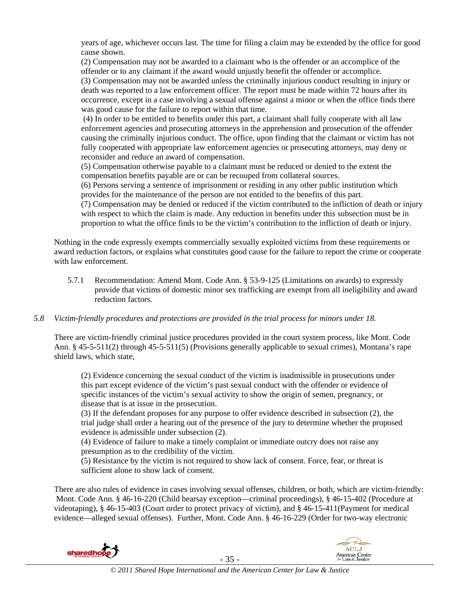years of age, whichever occurs last. The time for filing a claim may be extended by the office for good cause shown.

(2) Compensation may not be awarded to a claimant who is the offender or an accomplice of the offender or to any claimant if the award would unjustly benefit the offender or accomplice. (3) Compensation may not be awarded unless the criminally injurious conduct resulting in injury or death was reported to a law enforcement officer. The report must be made within 72 hours after its occurrence, except in a case involving a sexual offense against a minor or when the office finds there was good cause for the failure to report within that time.

 (4) In order to be entitled to benefits under this part, a claimant shall fully cooperate with all law enforcement agencies and prosecuting attorneys in the apprehension and prosecution of the offender causing the criminally injurious conduct. The office, upon finding that the claimant or victim has not fully cooperated with appropriate law enforcement agencies or prosecuting attorneys, may deny or reconsider and reduce an award of compensation.

(5) Compensation otherwise payable to a claimant must be reduced or denied to the extent the compensation benefits payable are or can be recouped from collateral sources.

(6) Persons serving a sentence of imprisonment or residing in any other public institution which provides for the maintenance of the person are not entitled to the benefits of this part.

(7) Compensation may be denied or reduced if the victim contributed to the infliction of death or injury with respect to which the claim is made. Any reduction in benefits under this subsection must be in proportion to what the office finds to be the victim's contribution to the infliction of death or injury.

Nothing in the code expressly exempts commercially sexually exploited victims from these requirements or award reduction factors, or explains what constitutes good cause for the failure to report the crime or cooperate with law enforcement.

- 5.7.1 Recommendation: Amend Mont. Code Ann. § 53-9-125 (Limitations on awards) to expressly provide that victims of domestic minor sex trafficking are exempt from all ineligibility and award reduction factors.
- *5.8 Victim-friendly procedures and protections are provided in the trial process for minors under 18.*

There are victim-friendly criminal justice procedures provided in the court system process, like Mont. Code Ann. § 45-5-511(2) through 45-5-511(5) (Provisions generally applicable to sexual crimes), Montana's rape shield laws, which state,

(2) Evidence concerning the sexual conduct of the victim is inadmissible in prosecutions under this part except evidence of the victim's past sexual conduct with the offender or evidence of specific instances of the victim's sexual activity to show the origin of semen, pregnancy, or disease that is at issue in the prosecution.

(3) If the defendant proposes for any purpose to offer evidence described in subsection (2), the trial judge shall order a hearing out of the presence of the jury to determine whether the proposed evidence is admissible under subsection (2).

(4) Evidence of failure to make a timely complaint or immediate outcry does not raise any presumption as to the credibility of the victim.

(5) Resistance by the victim is not required to show lack of consent. Force, fear, or threat is sufficient alone to show lack of consent.

There are also rules of evidence in cases involving sexual offenses, children, or both, which are victim-friendly: Mont. Code Ann. § 46-16-220 (Child hearsay exception—criminal proceedings), § 46-15-402 (Procedure at videotaping), § 46-15-403 (Court order to protect privacy of victim), and § 46-15-411(Payment for medical evidence—alleged sexual offenses). Further, Mont. Code Ann. § 46-16-229 (Order for two-way electronic



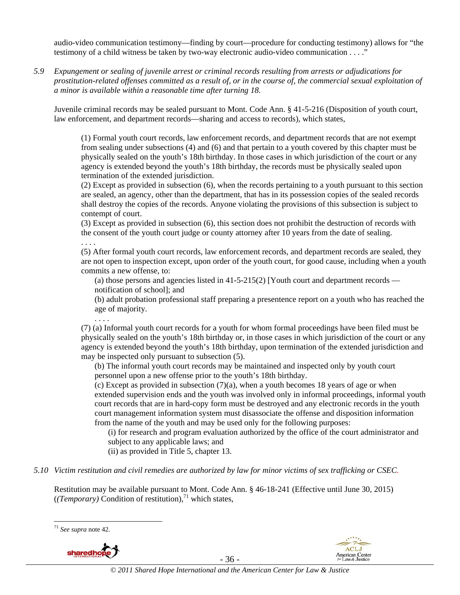audio-video communication testimony—finding by court—procedure for conducting testimony) allows for "the testimony of a child witness be taken by two-way electronic audio-video communication . . . ."

*5.9 Expungement or sealing of juvenile arrest or criminal records resulting from arrests or adjudications for prostitution-related offenses committed as a result of, or in the course of, the commercial sexual exploitation of a minor is available within a reasonable time after turning 18.* 

Juvenile criminal records may be sealed pursuant to Mont. Code Ann. § 41-5-216 (Disposition of youth court, law enforcement, and department records—sharing and access to records), which states,

(1) Formal youth court records, law enforcement records, and department records that are not exempt from sealing under subsections (4) and (6) and that pertain to a youth covered by this chapter must be physically sealed on the youth's 18th birthday. In those cases in which jurisdiction of the court or any agency is extended beyond the youth's 18th birthday, the records must be physically sealed upon termination of the extended jurisdiction.

(2) Except as provided in subsection (6), when the records pertaining to a youth pursuant to this section are sealed, an agency, other than the department, that has in its possession copies of the sealed records shall destroy the copies of the records. Anyone violating the provisions of this subsection is subject to contempt of court.

(3) Except as provided in subsection (6), this section does not prohibit the destruction of records with the consent of the youth court judge or county attorney after 10 years from the date of sealing.

. . . .

. . . .

(5) After formal youth court records, law enforcement records, and department records are sealed, they are not open to inspection except, upon order of the youth court, for good cause, including when a youth commits a new offense, to:

(a) those persons and agencies listed in  $41-5-215(2)$  [Youth court and department records notification of school]; and

(b) adult probation professional staff preparing a presentence report on a youth who has reached the age of majority.

(7) (a) Informal youth court records for a youth for whom formal proceedings have been filed must be physically sealed on the youth's 18th birthday or, in those cases in which jurisdiction of the court or any agency is extended beyond the youth's 18th birthday, upon termination of the extended jurisdiction and may be inspected only pursuant to subsection (5).

(b) The informal youth court records may be maintained and inspected only by youth court personnel upon a new offense prior to the youth's 18th birthday.

(c) Except as provided in subsection  $(7)(a)$ , when a youth becomes 18 years of age or when extended supervision ends and the youth was involved only in informal proceedings, informal youth court records that are in hard-copy form must be destroyed and any electronic records in the youth court management information system must disassociate the offense and disposition information from the name of the youth and may be used only for the following purposes:

(i) for research and program evaluation authorized by the office of the court administrator and subject to any applicable laws; and

(ii) as provided in Title 5, chapter 13.

*5.10 Victim restitution and civil remedies are authorized by law for minor victims of sex trafficking or CSEC.* 

Restitution may be available pursuant to Mont. Code Ann. § 46-18-241 (Effective until June 30, 2015)  $((Temporary)$  Condition of restitution),<sup>71</sup> which states,

 $\overline{a}$ <sup>71</sup> *See supra* note 42.



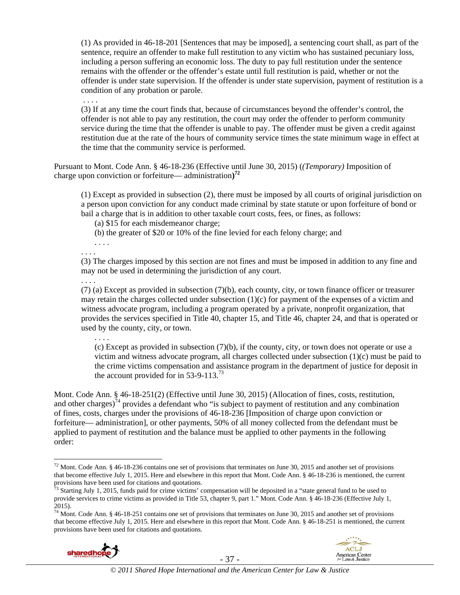(1) As provided in 46-18-201 [Sentences that may be imposed], a sentencing court shall, as part of the sentence, require an offender to make full restitution to any victim who has sustained pecuniary loss, including a person suffering an economic loss. The duty to pay full restitution under the sentence remains with the offender or the offender's estate until full restitution is paid, whether or not the offender is under state supervision. If the offender is under state supervision, payment of restitution is a condition of any probation or parole.

. . . .

(3) If at any time the court finds that, because of circumstances beyond the offender's control, the offender is not able to pay any restitution, the court may order the offender to perform community service during the time that the offender is unable to pay. The offender must be given a credit against restitution due at the rate of the hours of community service times the state minimum wage in effect at the time that the community service is performed.

Pursuant to Mont. Code Ann. § 46-18-236 (Effective until June 30, 2015) (*(Temporary)* Imposition of charge upon conviction or forfeiture— administration**) 72**

(1) Except as provided in subsection (2), there must be imposed by all courts of original jurisdiction on a person upon conviction for any conduct made criminal by state statute or upon forfeiture of bond or bail a charge that is in addition to other taxable court costs, fees, or fines, as follows:

(a) \$15 for each misdemeanor charge;

(b) the greater of \$20 or 10% of the fine levied for each felony charge; and

. . . . . . . .

. . . .

(3) The charges imposed by this section are not fines and must be imposed in addition to any fine and may not be used in determining the jurisdiction of any court.

. . . .

(7) (a) Except as provided in subsection (7)(b), each county, city, or town finance officer or treasurer may retain the charges collected under subsection  $(1)(c)$  for payment of the expenses of a victim and witness advocate program, including a program operated by a private, nonprofit organization, that provides the services specified in Title 40, chapter 15, and Title 46, chapter 24, and that is operated or used by the county, city, or town.

(c) Except as provided in subsection (7)(b), if the county, city, or town does not operate or use a victim and witness advocate program, all charges collected under subsection  $(1)(c)$  must be paid to the crime victims compensation and assistance program in the department of justice for deposit in the account provided for in  $53-9-113^{3}$ 

Mont. Code Ann. § 46-18-251(2) (Effective until June 30, 2015) (Allocation of fines, costs, restitution, and other charges)<sup>74</sup> provides a defendant who "is subject to payment of restitution and any combination of fines, costs, charges under the provisions of 46-18-236 [Imposition of charge upon conviction or forfeiture— administration], or other payments, 50% of all money collected from the defendant must be applied to payment of restitution and the balance must be applied to other payments in the following order:

 $74$  Mont. Code Ann. § 46-18-251 contains one set of provisions that terminates on June 30, 2015 and another set of provisions that become effective July 1, 2015. Here and elsewhere in this report that Mont. Code Ann. § 46-18-251 is mentioned, the current provisions have been used for citations and quotations.





 $\overline{a}$ <sup>72</sup> Mont. Code Ann. § 46-18-236 contains one set of provisions that terminates on June 30, 2015 and another set of provisions that become effective July 1, 2015. Here and elsewhere in this report that Mont. Code Ann. § 46-18-236 is mentioned, the current provisions have been used for citations and quotations.<br><sup>73</sup> Starting July 1, 2015, funds paid for crime victims' compensation will be deposited in a "state general fund to be used to

provide services to crime victims as provided in Title 53, chapter 9, part 1." Mont. Code Ann. § 46-18-236 (Effective July 1, 2015).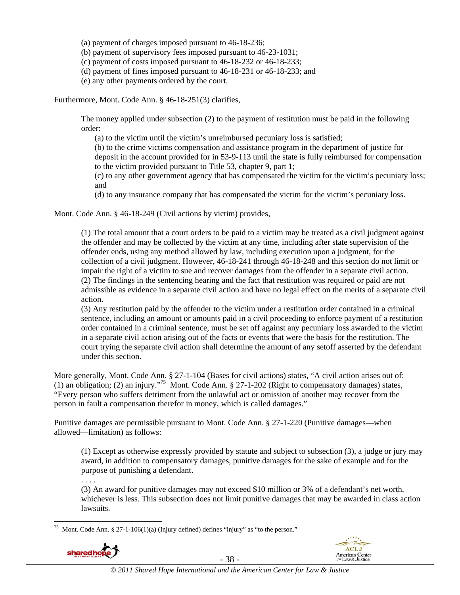(a) payment of charges imposed pursuant to 46-18-236;

(b) payment of supervisory fees imposed pursuant to 46-23-1031;

(c) payment of costs imposed pursuant to 46-18-232 or 46-18-233;

(d) payment of fines imposed pursuant to 46-18-231 or 46-18-233; and

(e) any other payments ordered by the court.

Furthermore, Mont. Code Ann. § 46-18-251(3) clarifies,

The money applied under subsection (2) to the payment of restitution must be paid in the following order:

(a) to the victim until the victim's unreimbursed pecuniary loss is satisfied;

(b) to the crime victims compensation and assistance program in the department of justice for deposit in the account provided for in 53-9-113 until the state is fully reimbursed for compensation to the victim provided pursuant to Title 53, chapter 9, part 1;

(c) to any other government agency that has compensated the victim for the victim's pecuniary loss; and

(d) to any insurance company that has compensated the victim for the victim's pecuniary loss.

Mont. Code Ann. § 46-18-249 (Civil actions by victim) provides,

(1) The total amount that a court orders to be paid to a victim may be treated as a civil judgment against the offender and may be collected by the victim at any time, including after state supervision of the offender ends, using any method allowed by law, including execution upon a judgment, for the collection of a civil judgment. However, 46-18-241 through 46-18-248 and this section do not limit or impair the right of a victim to sue and recover damages from the offender in a separate civil action. (2) The findings in the sentencing hearing and the fact that restitution was required or paid are not admissible as evidence in a separate civil action and have no legal effect on the merits of a separate civil action.

(3) Any restitution paid by the offender to the victim under a restitution order contained in a criminal sentence, including an amount or amounts paid in a civil proceeding to enforce payment of a restitution order contained in a criminal sentence, must be set off against any pecuniary loss awarded to the victim in a separate civil action arising out of the facts or events that were the basis for the restitution. The court trying the separate civil action shall determine the amount of any setoff asserted by the defendant under this section.

More generally, Mont. Code Ann. § 27-1-104 (Bases for civil actions) states, "A civil action arises out of: (1) an obligation; (2) an injury."75 Mont. Code Ann. § 27-1-202 (Right to compensatory damages) states, "Every person who suffers detriment from the unlawful act or omission of another may recover from the person in fault a compensation therefor in money, which is called damages."

Punitive damages are permissible pursuant to Mont. Code Ann. § 27-1-220 (Punitive damages—when allowed—limitation) as follows:

(1) Except as otherwise expressly provided by statute and subject to subsection (3), a judge or jury may award, in addition to compensatory damages, punitive damages for the sake of example and for the purpose of punishing a defendant.

. . . .

(3) An award for punitive damages may not exceed \$10 million or 3% of a defendant's net worth, whichever is less. This subsection does not limit punitive damages that may be awarded in class action lawsuits.

 $\overline{a}$ Mont. Code Ann. § 27-1-106(1)(a) (Injury defined) defines "injury" as "to the person."



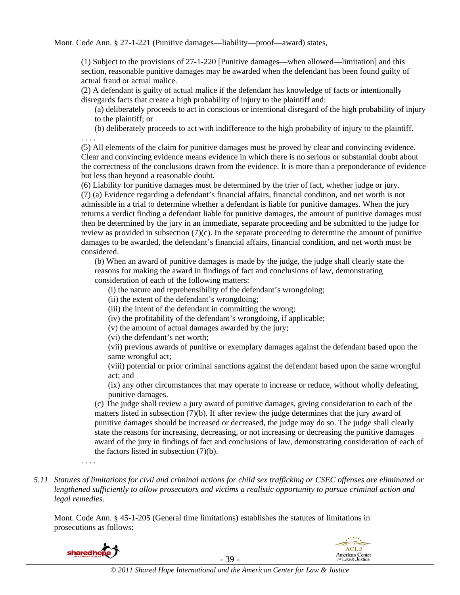Mont. Code Ann. § 27-1-221 (Punitive damages—liability—proof—award) states,

(1) Subject to the provisions of 27-1-220 [Punitive damages—when allowed—limitation] and this section, reasonable punitive damages may be awarded when the defendant has been found guilty of actual fraud or actual malice.

(2) A defendant is guilty of actual malice if the defendant has knowledge of facts or intentionally disregards facts that create a high probability of injury to the plaintiff and:

(a) deliberately proceeds to act in conscious or intentional disregard of the high probability of injury to the plaintiff; or

(b) deliberately proceeds to act with indifference to the high probability of injury to the plaintiff.

. . . .

(5) All elements of the claim for punitive damages must be proved by clear and convincing evidence. Clear and convincing evidence means evidence in which there is no serious or substantial doubt about the correctness of the conclusions drawn from the evidence. It is more than a preponderance of evidence but less than beyond a reasonable doubt.

(6) Liability for punitive damages must be determined by the trier of fact, whether judge or jury. (7) (a) Evidence regarding a defendant's financial affairs, financial condition, and net worth is not admissible in a trial to determine whether a defendant is liable for punitive damages. When the jury returns a verdict finding a defendant liable for punitive damages, the amount of punitive damages must then be determined by the jury in an immediate, separate proceeding and be submitted to the judge for review as provided in subsection (7)(c). In the separate proceeding to determine the amount of punitive damages to be awarded, the defendant's financial affairs, financial condition, and net worth must be considered.

(b) When an award of punitive damages is made by the judge, the judge shall clearly state the reasons for making the award in findings of fact and conclusions of law, demonstrating consideration of each of the following matters:

(i) the nature and reprehensibility of the defendant's wrongdoing;

(ii) the extent of the defendant's wrongdoing;

(iii) the intent of the defendant in committing the wrong;

(iv) the profitability of the defendant's wrongdoing, if applicable;

(v) the amount of actual damages awarded by the jury;

(vi) the defendant's net worth;

(vii) previous awards of punitive or exemplary damages against the defendant based upon the same wrongful act;

(viii) potential or prior criminal sanctions against the defendant based upon the same wrongful act; and

(ix) any other circumstances that may operate to increase or reduce, without wholly defeating, punitive damages.

(c) The judge shall review a jury award of punitive damages, giving consideration to each of the matters listed in subsection (7)(b). If after review the judge determines that the jury award of punitive damages should be increased or decreased, the judge may do so. The judge shall clearly state the reasons for increasing, decreasing, or not increasing or decreasing the punitive damages award of the jury in findings of fact and conclusions of law, demonstrating consideration of each of the factors listed in subsection (7)(b).

. . . .

*5.11 Statutes of limitations for civil and criminal actions for child sex trafficking or CSEC offenses are eliminated or lengthened sufficiently to allow prosecutors and victims a realistic opportunity to pursue criminal action and legal remedies.* 

Mont. Code Ann. § 45-1-205 (General time limitations) establishes the statutes of limitations in prosecutions as follows:



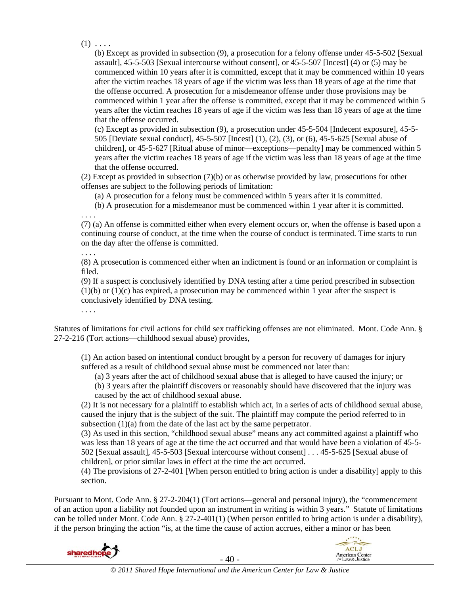$(1) \ldots$ 

(b) Except as provided in subsection (9), a prosecution for a felony offense under 45-5-502 [Sexual assault], 45-5-503 [Sexual intercourse without consent], or 45-5-507 [Incest] (4) or (5) may be commenced within 10 years after it is committed, except that it may be commenced within 10 years after the victim reaches 18 years of age if the victim was less than 18 years of age at the time that the offense occurred. A prosecution for a misdemeanor offense under those provisions may be commenced within 1 year after the offense is committed, except that it may be commenced within 5 years after the victim reaches 18 years of age if the victim was less than 18 years of age at the time that the offense occurred.

(c) Except as provided in subsection (9), a prosecution under 45-5-504 [Indecent exposure], 45-5- 505 [Deviate sexual conduct], 45-5-507 [Incest] (1), (2), (3), or (6), 45-5-625 [Sexual abuse of children], or 45-5-627 [Ritual abuse of minor—exceptions—penalty] may be commenced within 5 years after the victim reaches 18 years of age if the victim was less than 18 years of age at the time that the offense occurred.

(2) Except as provided in subsection (7)(b) or as otherwise provided by law, prosecutions for other offenses are subject to the following periods of limitation:

(a) A prosecution for a felony must be commenced within 5 years after it is committed.

(b) A prosecution for a misdemeanor must be commenced within 1 year after it is committed.

. . . .

(7) (a) An offense is committed either when every element occurs or, when the offense is based upon a continuing course of conduct, at the time when the course of conduct is terminated. Time starts to run on the day after the offense is committed.

# . . . .

(8) A prosecution is commenced either when an indictment is found or an information or complaint is filed.

(9) If a suspect is conclusively identified by DNA testing after a time period prescribed in subsection  $(1)(b)$  or  $(1)(c)$  has expired, a prosecution may be commenced within 1 year after the suspect is conclusively identified by DNA testing.

. . . .

Statutes of limitations for civil actions for child sex trafficking offenses are not eliminated. Mont. Code Ann. § 27-2-216 (Tort actions—childhood sexual abuse) provides,

(1) An action based on intentional conduct brought by a person for recovery of damages for injury suffered as a result of childhood sexual abuse must be commenced not later than:

(a) 3 years after the act of childhood sexual abuse that is alleged to have caused the injury; or

(b) 3 years after the plaintiff discovers or reasonably should have discovered that the injury was caused by the act of childhood sexual abuse.

(2) It is not necessary for a plaintiff to establish which act, in a series of acts of childhood sexual abuse, caused the injury that is the subject of the suit. The plaintiff may compute the period referred to in subsection (1)(a) from the date of the last act by the same perpetrator.

(3) As used in this section, "childhood sexual abuse" means any act committed against a plaintiff who was less than 18 years of age at the time the act occurred and that would have been a violation of 45-5- 502 [Sexual assault], 45-5-503 [Sexual intercourse without consent] . . . 45-5-625 [Sexual abuse of children], or prior similar laws in effect at the time the act occurred.

(4) The provisions of 27-2-401 [When person entitled to bring action is under a disability] apply to this section.

Pursuant to Mont. Code Ann. § 27-2-204(1) (Tort actions—general and personal injury), the "commencement of an action upon a liability not founded upon an instrument in writing is within 3 years." Statute of limitations can be tolled under Mont. Code Ann. § 27-2-401(1) (When person entitled to bring action is under a disability), if the person bringing the action "is, at the time the cause of action accrues, either a minor or has been



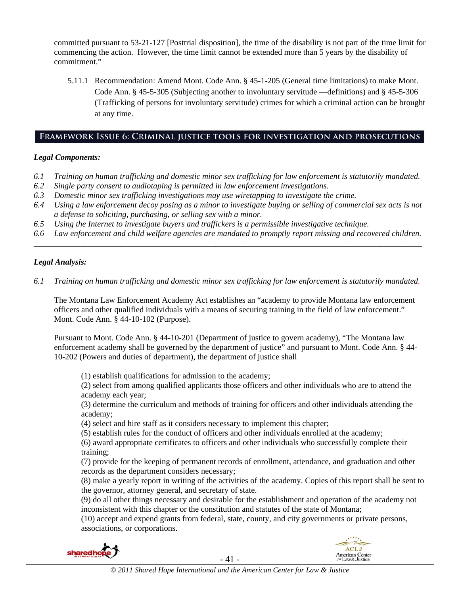committed pursuant to 53-21-127 [Posttrial disposition], the time of the disability is not part of the time limit for commencing the action. However, the time limit cannot be extended more than 5 years by the disability of commitment."

5.11.1 Recommendation: Amend Mont. Code Ann. § 45-1-205 (General time limitations) to make Mont. Code Ann. § 45-5-305 (Subjecting another to involuntary servitude —definitions) and § 45-5-306 (Trafficking of persons for involuntary servitude) crimes for which a criminal action can be brought at any time.

## **Framework Issue 6: Criminal justice tools for investigation and prosecutions**

## *Legal Components:*

- *6.1 Training on human trafficking and domestic minor sex trafficking for law enforcement is statutorily mandated.*
- *6.2 Single party consent to audiotaping is permitted in law enforcement investigations.*
- *6.3 Domestic minor sex trafficking investigations may use wiretapping to investigate the crime.*
- *6.4 Using a law enforcement decoy posing as a minor to investigate buying or selling of commercial sex acts is not a defense to soliciting, purchasing, or selling sex with a minor.*
- *6.5 Using the Internet to investigate buyers and traffickers is a permissible investigative technique.*
- *6.6 Law enforcement and child welfare agencies are mandated to promptly report missing and recovered children. \_\_\_\_\_\_\_\_\_\_\_\_\_\_\_\_\_\_\_\_\_\_\_\_\_\_\_\_\_\_\_\_\_\_\_\_\_\_\_\_\_\_\_\_\_\_\_\_\_\_\_\_\_\_\_\_\_\_\_\_\_\_\_\_\_\_\_\_\_\_\_\_\_\_\_\_\_\_\_\_\_\_\_\_\_\_\_\_\_\_\_\_\_\_*

# *Legal Analysis:*

*6.1 Training on human trafficking and domestic minor sex trafficking for law enforcement is statutorily mandated.*

The Montana Law Enforcement Academy Act establishes an "academy to provide Montana law enforcement officers and other qualified individuals with a means of securing training in the field of law enforcement." Mont. Code Ann. § 44-10-102 (Purpose).

Pursuant to Mont. Code Ann. § 44-10-201 (Department of justice to govern academy), "The Montana law enforcement academy shall be governed by the department of justice" and pursuant to Mont. Code Ann. § 44- 10-202 (Powers and duties of department), the department of justice shall

(1) establish qualifications for admission to the academy;

(2) select from among qualified applicants those officers and other individuals who are to attend the academy each year;

(3) determine the curriculum and methods of training for officers and other individuals attending the academy;

(4) select and hire staff as it considers necessary to implement this chapter;

(5) establish rules for the conduct of officers and other individuals enrolled at the academy;

(6) award appropriate certificates to officers and other individuals who successfully complete their training;

(7) provide for the keeping of permanent records of enrollment, attendance, and graduation and other records as the department considers necessary;

(8) make a yearly report in writing of the activities of the academy. Copies of this report shall be sent to the governor, attorney general, and secretary of state.

(9) do all other things necessary and desirable for the establishment and operation of the academy not inconsistent with this chapter or the constitution and statutes of the state of Montana;

(10) accept and expend grants from federal, state, county, and city governments or private persons, associations, or corporations.



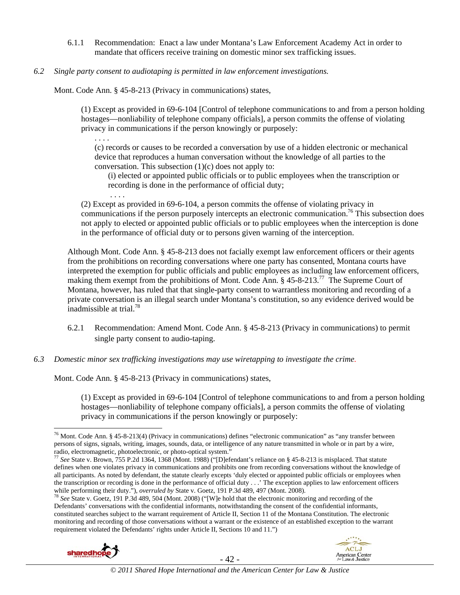- 6.1.1 Recommendation: Enact a law under Montana's Law Enforcement Academy Act in order to mandate that officers receive training on domestic minor sex trafficking issues.
- *6.2 Single party consent to audiotaping is permitted in law enforcement investigations.*

Mont. Code Ann. § 45-8-213 (Privacy in communications) states,

(1) Except as provided in 69-6-104 [Control of telephone communications to and from a person holding hostages—nonliability of telephone company officials], a person commits the offense of violating privacy in communications if the person knowingly or purposely:

. . . .

. . . .

(c) records or causes to be recorded a conversation by use of a hidden electronic or mechanical device that reproduces a human conversation without the knowledge of all parties to the conversation. This subsection (1)(c) does not apply to:

(i) elected or appointed public officials or to public employees when the transcription or recording is done in the performance of official duty;

(2) Except as provided in 69-6-104, a person commits the offense of violating privacy in communications if the person purposely intercepts an electronic communication.<sup>76</sup> This subsection does not apply to elected or appointed public officials or to public employees when the interception is done in the performance of official duty or to persons given warning of the interception.

Although Mont. Code Ann. § 45-8-213 does not facially exempt law enforcement officers or their agents from the prohibitions on recording conversations where one party has consented, Montana courts have interpreted the exemption for public officials and public employees as including law enforcement officers, making them exempt from the prohibitions of Mont. Code Ann. § 45-8-213.<sup>77</sup> The Supreme Court of Montana, however, has ruled that that single-party consent to warrantless monitoring and recording of a private conversation is an illegal search under Montana's constitution, so any evidence derived would be inadmissible at trial. $78$ 

- 6.2.1 Recommendation: Amend Mont. Code Ann. § 45-8-213 (Privacy in communications) to permit single party consent to audio-taping.
- *6.3 Domestic minor sex trafficking investigations may use wiretapping to investigate the crime.*

Mont. Code Ann. § 45-8-213 (Privacy in communications) states,

(1) Except as provided in 69-6-104 [Control of telephone communications to and from a person holding hostages—nonliability of telephone company officials], a person commits the offense of violating privacy in communications if the person knowingly or purposely:

Defendants' conversations with the confidential informants, notwithstanding the consent of the confidential informants, constituted searches subject to the warrant requirement of Article II, Section 11 of the Montana Constitution. The electronic monitoring and recording of those conversations without a warrant or the existence of an established exception to the warrant requirement violated the Defendants' rights under Article II, Sections 10 and 11.")





 $\overline{a}$ 76 Mont. Code Ann. § 45-8-213(4) (Privacy in communications) defines "electronic communication" as "any transfer between persons of signs, signals, writing, images, sounds, data, or intelligence of any nature transmitted in whole or in part by a wire, radio, electromagnetic, photoelectronic, or photo-optical system."

<sup>&</sup>lt;sup>77</sup> See State v. Brown, 755 P.2d 1364, 1368 (Mont. 1988) ("[D]efendant's reliance on § 45-8-213 is misplaced. That statute defines when one violates privacy in communications and prohibits one from recording conversations without the knowledge of all participants. As noted by defendant, the statute clearly excepts 'duly elected or appointed public officials or employees when the transcription or recording is done in the performance of official duty . . .' The exception applies to law enforcement officers while performing their duty."), *overruled by* State v. Goetz, 191 P.3d 489, 497 (Mont. 2008).<br><sup>78</sup> *See* State v. Goetz, 191 P.3d 489, 504 (Mont. 2008) ("[W]e hold that the electronic monitoring and recording of the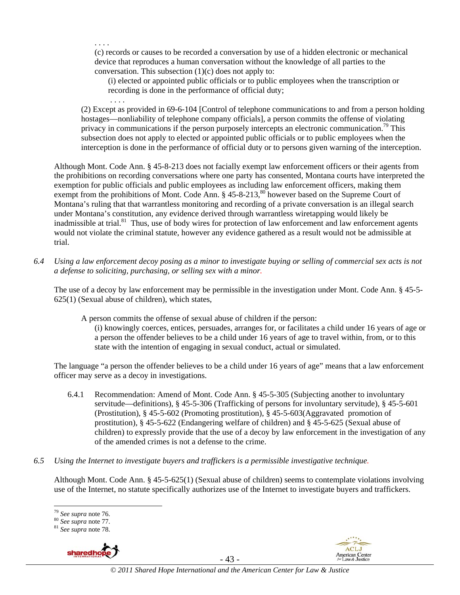. . . . (c) records or causes to be recorded a conversation by use of a hidden electronic or mechanical device that reproduces a human conversation without the knowledge of all parties to the conversation. This subsection  $(1)(c)$  does not apply to:

(i) elected or appointed public officials or to public employees when the transcription or recording is done in the performance of official duty;

(2) Except as provided in 69-6-104 [Control of telephone communications to and from a person holding hostages—nonliability of telephone company officials], a person commits the offense of violating privacy in communications if the person purposely intercepts an electronic communication.<sup>79</sup> This subsection does not apply to elected or appointed public officials or to public employees when the interception is done in the performance of official duty or to persons given warning of the interception.

Although Mont. Code Ann. § 45-8-213 does not facially exempt law enforcement officers or their agents from the prohibitions on recording conversations where one party has consented, Montana courts have interpreted the exemption for public officials and public employees as including law enforcement officers, making them exempt from the prohibitions of Mont. Code Ann. § 45-8-213,<sup>80</sup> however based on the Supreme Court of Montana's ruling that that warrantless monitoring and recording of a private conversation is an illegal search under Montana's constitution, any evidence derived through warrantless wiretapping would likely be inadmissible at trial.<sup>81</sup> Thus, use of body wires for protection of law enforcement and law enforcement agents would not violate the criminal statute, however any evidence gathered as a result would not be admissible at trial.

*6.4 Using a law enforcement decoy posing as a minor to investigate buying or selling of commercial sex acts is not a defense to soliciting, purchasing, or selling sex with a minor.* 

The use of a decoy by law enforcement may be permissible in the investigation under Mont. Code Ann. § 45-5- 625(1) (Sexual abuse of children), which states,

A person commits the offense of sexual abuse of children if the person:

(i) knowingly coerces, entices, persuades, arranges for, or facilitates a child under 16 years of age or a person the offender believes to be a child under 16 years of age to travel within, from, or to this state with the intention of engaging in sexual conduct, actual or simulated.

The language "a person the offender believes to be a child under 16 years of age" means that a law enforcement officer may serve as a decoy in investigations.

- 6.4.1 Recommendation: Amend of Mont. Code Ann. § 45-5-305 (Subjecting another to involuntary servitude—definitions), § 45-5-306 (Trafficking of persons for involuntary servitude), § 45-5-601 (Prostitution), § 45-5-602 (Promoting prostitution), § 45-5-603(Aggravated promotion of prostitution), § 45-5-622 (Endangering welfare of children) and § 45-5-625 (Sexual abuse of children) to expressly provide that the use of a decoy by law enforcement in the investigation of any of the amended crimes is not a defense to the crime.
- *6.5 Using the Internet to investigate buyers and traffickers is a permissible investigative technique.*

Although Mont. Code Ann. § 45-5-625(1) (Sexual abuse of children) seems to contemplate violations involving use of the Internet, no statute specifically authorizes use of the Internet to investigate buyers and traffickers.



. . . .

- 43 -



<sup>&</sup>lt;sup>79</sup> See supra note 76.

<sup>79</sup> *See supra* note 76. 80 *See supra* note 77. 81 *See supra* note 78.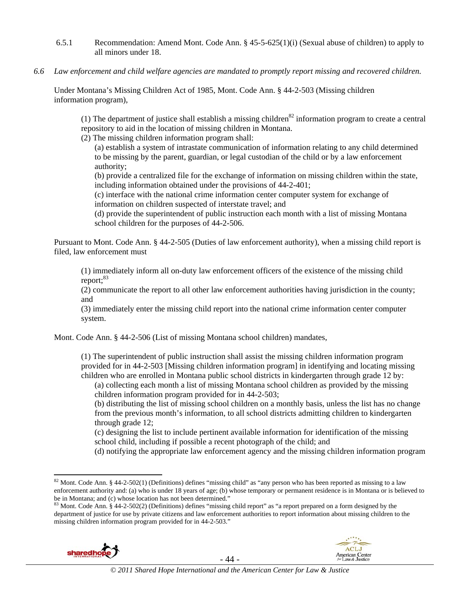- 6.5.1 Recommendation: Amend Mont. Code Ann. § 45-5-625(1)(i) (Sexual abuse of children) to apply to all minors under 18.
- *6.6 Law enforcement and child welfare agencies are mandated to promptly report missing and recovered children.*

Under Montana's Missing Children Act of 1985, Mont. Code Ann. § 44-2-503 (Missing children information program),

(1) The department of justice shall establish a missing children<sup>82</sup> information program to create a central repository to aid in the location of missing children in Montana.

(2) The missing children information program shall:

(a) establish a system of intrastate communication of information relating to any child determined to be missing by the parent, guardian, or legal custodian of the child or by a law enforcement authority;

(b) provide a centralized file for the exchange of information on missing children within the state, including information obtained under the provisions of 44-2-401;

(c) interface with the national crime information center computer system for exchange of information on children suspected of interstate travel; and

(d) provide the superintendent of public instruction each month with a list of missing Montana school children for the purposes of 44-2-506.

Pursuant to Mont. Code Ann. § 44-2-505 (Duties of law enforcement authority), when a missing child report is filed, law enforcement must

(1) immediately inform all on-duty law enforcement officers of the existence of the missing child report: $83$ 

(2) communicate the report to all other law enforcement authorities having jurisdiction in the county; and

(3) immediately enter the missing child report into the national crime information center computer system.

Mont. Code Ann. § 44-2-506 (List of missing Montana school children) mandates,

(1) The superintendent of public instruction shall assist the missing children information program provided for in 44-2-503 [Missing children information program] in identifying and locating missing children who are enrolled in Montana public school districts in kindergarten through grade 12 by:

(a) collecting each month a list of missing Montana school children as provided by the missing children information program provided for in 44-2-503;

(b) distributing the list of missing school children on a monthly basis, unless the list has no change from the previous month's information, to all school districts admitting children to kindergarten through grade 12;

(c) designing the list to include pertinent available information for identification of the missing school child, including if possible a recent photograph of the child; and

(d) notifying the appropriate law enforcement agency and the missing children information program

department of justice for use by private citizens and law enforcement authorities to report information about missing children to the missing children information program provided for in 44-2-503."





 $82$  Mont. Code Ann. § 44-2-502(1) (Definitions) defines "missing child" as "any person who has been reported as missing to a law enforcement authority and: (a) who is under 18 years of age; (b) whose temporary or permanent residence is in Montana or is believed to be in Montana; and (c) whose location has not been determined."<br><sup>83</sup> Mont. Code Ann. § 44-2-502(2) (Definitions) defines "missing child report" as "a report prepared on a form designed by the